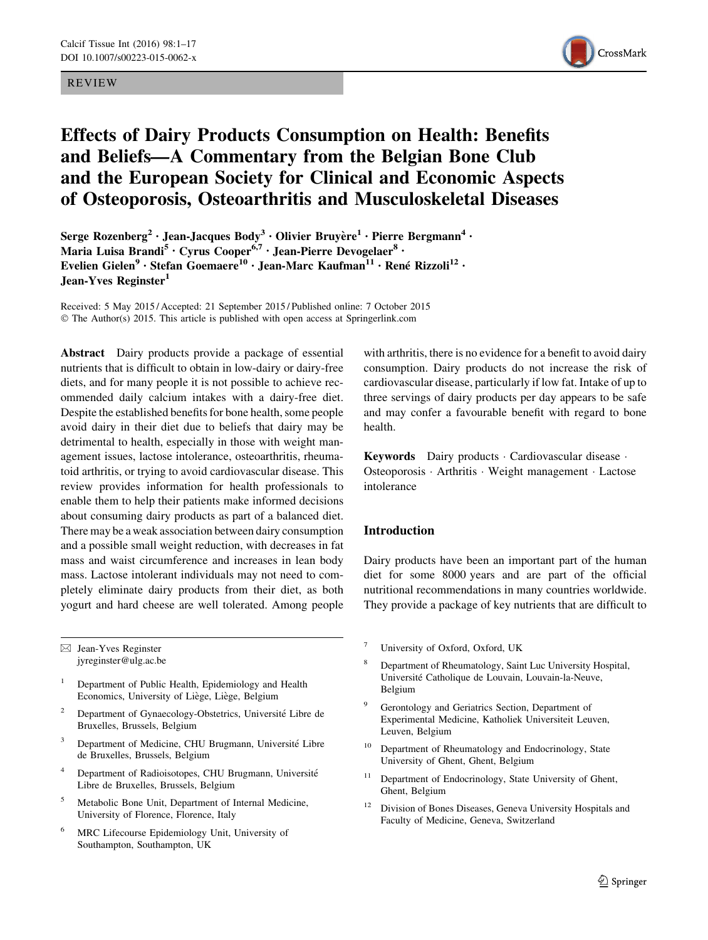### REVIEW



# Effects of Dairy Products Consumption on Health: Benefits and Beliefs—A Commentary from the Belgian Bone Club and the European Society for Clinical and Economic Aspects of Osteoporosis, Osteoarthritis and Musculoskeletal Diseases

Serge Rozenberg<sup>2</sup> · Jean-Jacques Body<sup>3</sup> · Olivier Bruyère<sup>1</sup> · Pierre Bergmann<sup>4</sup> · Maria Luisa Brandi<sup>5</sup> • Cyrus Cooper<sup>6,7</sup> • Jean-Pierre Devogelaer<sup>8</sup> • Evelien Gielen<sup>9</sup> · Stefan Goemaere<sup>10</sup> · Jean-Marc Kaufman<sup>11</sup> · René Rizzoli<sup>12</sup> · Jean-Yves Reginster<sup>1</sup>

Received: 5 May 2015 / Accepted: 21 September 2015 / Published online: 7 October 2015 © The Author(s) 2015. This article is published with open access at Springerlink.com

Abstract Dairy products provide a package of essential nutrients that is difficult to obtain in low-dairy or dairy-free diets, and for many people it is not possible to achieve recommended daily calcium intakes with a dairy-free diet. Despite the established benefits for bone health, some people avoid dairy in their diet due to beliefs that dairy may be detrimental to health, especially in those with weight management issues, lactose intolerance, osteoarthritis, rheumatoid arthritis, or trying to avoid cardiovascular disease. This review provides information for health professionals to enable them to help their patients make informed decisions about consuming dairy products as part of a balanced diet. There may be a weak association between dairy consumption and a possible small weight reduction, with decreases in fat mass and waist circumference and increases in lean body mass. Lactose intolerant individuals may not need to completely eliminate dairy products from their diet, as both yogurt and hard cheese are well tolerated. Among people

 $\boxtimes$  Jean-Yves Reginster jyreginster@ulg.ac.be

- <sup>1</sup> Department of Public Health, Epidemiology and Health Economics, University of Liège, Liège, Belgium
- Department of Gynaecology-Obstetrics, Université Libre de Bruxelles, Brussels, Belgium
- <sup>3</sup> Department of Medicine, CHU Brugmann, Université Libre de Bruxelles, Brussels, Belgium
- Department of Radioisotopes, CHU Brugmann, Université Libre de Bruxelles, Brussels, Belgium
- <sup>5</sup> Metabolic Bone Unit, Department of Internal Medicine, University of Florence, Florence, Italy
- <sup>6</sup> MRC Lifecourse Epidemiology Unit, University of Southampton, Southampton, UK

with arthritis, there is no evidence for a benefit to avoid dairy consumption. Dairy products do not increase the risk of cardiovascular disease, particularly if low fat. Intake of up to three servings of dairy products per day appears to be safe and may confer a favourable benefit with regard to bone health.

Keywords Dairy products · Cardiovascular disease · Osteoporosis - Arthritis - Weight management - Lactose intolerance

# Introduction

Dairy products have been an important part of the human diet for some 8000 years and are part of the official nutritional recommendations in many countries worldwide. They provide a package of key nutrients that are difficult to

- University of Oxford, Oxford, UK
- <sup>8</sup> Department of Rheumatology, Saint Luc University Hospital, Université Catholique de Louvain, Louvain-la-Neuve, Belgium
- Gerontology and Geriatrics Section, Department of Experimental Medicine, Katholiek Universiteit Leuven, Leuven, Belgium
- Department of Rheumatology and Endocrinology, State University of Ghent, Ghent, Belgium
- <sup>11</sup> Department of Endocrinology, State University of Ghent, Ghent, Belgium
- <sup>12</sup> Division of Bones Diseases, Geneva University Hospitals and Faculty of Medicine, Geneva, Switzerland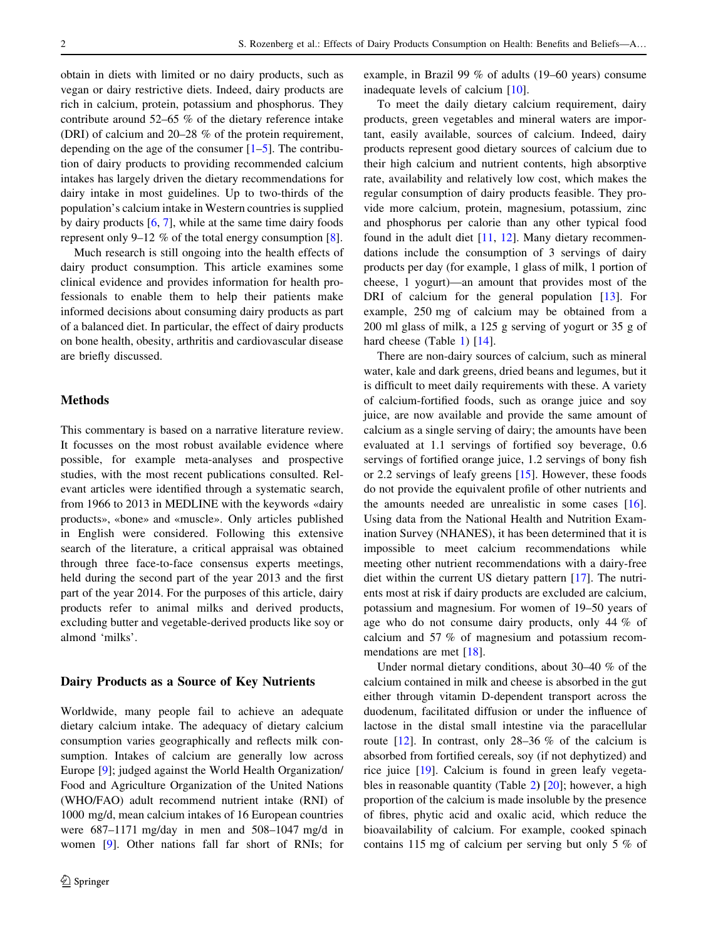obtain in diets with limited or no dairy products, such as vegan or dairy restrictive diets. Indeed, dairy products are rich in calcium, protein, potassium and phosphorus. They contribute around 52–65 % of the dietary reference intake (DRI) of calcium and 20–28 % of the protein requirement, depending on the age of the consumer  $[1-5]$ . The contribution of dairy products to providing recommended calcium intakes has largely driven the dietary recommendations for dairy intake in most guidelines. Up to two-thirds of the population's calcium intake in Western countries is supplied by dairy products [\[6](#page-11-0), [7](#page-11-0)], while at the same time dairy foods represent only 9–12 % of the total energy consumption [[8\]](#page-11-0).

Much research is still ongoing into the health effects of dairy product consumption. This article examines some clinical evidence and provides information for health professionals to enable them to help their patients make informed decisions about consuming dairy products as part of a balanced diet. In particular, the effect of dairy products on bone health, obesity, arthritis and cardiovascular disease are briefly discussed.

## Methods

This commentary is based on a narrative literature review. It focusses on the most robust available evidence where possible, for example meta-analyses and prospective studies, with the most recent publications consulted. Relevant articles were identified through a systematic search, from 1966 to 2013 in MEDLINE with the keywords «dairy products», «bone» and «muscle». Only articles published in English were considered. Following this extensive search of the literature, a critical appraisal was obtained through three face-to-face consensus experts meetings, held during the second part of the year 2013 and the first part of the year 2014. For the purposes of this article, dairy products refer to animal milks and derived products, excluding butter and vegetable-derived products like soy or almond 'milks'.

## Dairy Products as a Source of Key Nutrients

Worldwide, many people fail to achieve an adequate dietary calcium intake. The adequacy of dietary calcium consumption varies geographically and reflects milk consumption. Intakes of calcium are generally low across Europe [\[9](#page-11-0)]; judged against the World Health Organization/ Food and Agriculture Organization of the United Nations (WHO/FAO) adult recommend nutrient intake (RNI) of 1000 mg/d, mean calcium intakes of 16 European countries were 687–1171 mg/day in men and 508–1047 mg/d in women [[9\]](#page-11-0). Other nations fall far short of RNIs; for example, in Brazil 99 % of adults (19–60 years) consume inadequate levels of calcium [[10\]](#page-11-0).

To meet the daily dietary calcium requirement, dairy products, green vegetables and mineral waters are important, easily available, sources of calcium. Indeed, dairy products represent good dietary sources of calcium due to their high calcium and nutrient contents, high absorptive rate, availability and relatively low cost, which makes the regular consumption of dairy products feasible. They provide more calcium, protein, magnesium, potassium, zinc and phosphorus per calorie than any other typical food found in the adult diet [\[11](#page-12-0), [12](#page-12-0)]. Many dietary recommendations include the consumption of 3 servings of dairy products per day (for example, 1 glass of milk, 1 portion of cheese, 1 yogurt)—an amount that provides most of the DRI of calcium for the general population [\[13](#page-12-0)]. For example, 250 mg of calcium may be obtained from a 200 ml glass of milk, a 125 g serving of yogurt or 35 g of hard cheese (Table [1\)](#page-2-0) [[14\]](#page-12-0).

There are non-dairy sources of calcium, such as mineral water, kale and dark greens, dried beans and legumes, but it is difficult to meet daily requirements with these. A variety of calcium-fortified foods, such as orange juice and soy juice, are now available and provide the same amount of calcium as a single serving of dairy; the amounts have been evaluated at 1.1 servings of fortified soy beverage, 0.6 servings of fortified orange juice, 1.2 servings of bony fish or 2.2 servings of leafy greens [\[15](#page-12-0)]. However, these foods do not provide the equivalent profile of other nutrients and the amounts needed are unrealistic in some cases [\[16](#page-12-0)]. Using data from the National Health and Nutrition Examination Survey (NHANES), it has been determined that it is impossible to meet calcium recommendations while meeting other nutrient recommendations with a dairy-free diet within the current US dietary pattern [[17\]](#page-12-0). The nutrients most at risk if dairy products are excluded are calcium, potassium and magnesium. For women of 19–50 years of age who do not consume dairy products, only 44 % of calcium and 57 % of magnesium and potassium recommendations are met [[18\]](#page-12-0).

Under normal dietary conditions, about 30–40 % of the calcium contained in milk and cheese is absorbed in the gut either through vitamin D-dependent transport across the duodenum, facilitated diffusion or under the influence of lactose in the distal small intestine via the paracellular route [[12\]](#page-12-0). In contrast, only 28–36 % of the calcium is absorbed from fortified cereals, soy (if not dephytized) and rice juice [\[19](#page-12-0)]. Calcium is found in green leafy vegetables in reasonable quantity (Table [2](#page-2-0)) [[20\]](#page-12-0); however, a high proportion of the calcium is made insoluble by the presence of fibres, phytic acid and oxalic acid, which reduce the bioavailability of calcium. For example, cooked spinach contains 115 mg of calcium per serving but only 5 % of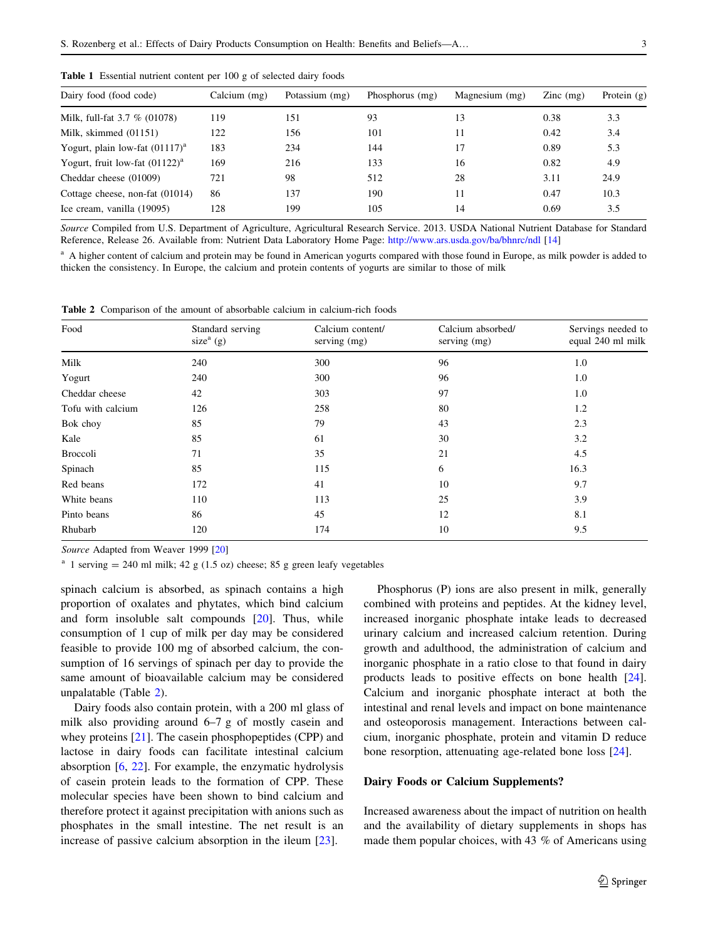| Dairy food (food code)            | Calcium (mg) | Potassium (mg) | Phosphorus (mg) | Magnesium (mg) | $\text{Zinc}$ (mg) | Protein $(g)$ |
|-----------------------------------|--------------|----------------|-----------------|----------------|--------------------|---------------|
| Milk, full-fat 3.7 % (01078)      | 119          | 151            | 93              | 13             | 0.38               | 3.3           |
| Milk, skimmed (01151)             | 122          | 156            | 101             | 11             | 0.42               | 3.4           |
| Yogurt, plain low-fat $(01117)^a$ | 183          | 234            | 144             | 17             | 0.89               | 5.3           |
| Yogurt, fruit low-fat $(01122)^a$ | 169          | 216            | 133             | 16             | 0.82               | 4.9           |
| Cheddar cheese (01009)            | 721          | 98             | 512             | 28             | 3.11               | 24.9          |
| Cottage cheese, non-fat (01014)   | 86           | 137            | 190             | 11             | 0.47               | 10.3          |
| Ice cream, vanilla (19095)        | 128          | 199            | 105             | 14             | 0.69               | 3.5           |
|                                   |              |                |                 |                |                    |               |

<span id="page-2-0"></span>Table 1 Essential nutrient content per 100 g of selected dairy foods

Source Compiled from U.S. Department of Agriculture, Agricultural Research Service. 2013. USDA National Nutrient Database for Standard Reference, Release 26. Available from: Nutrient Data Laboratory Home Page: <http://www.ars.usda.gov/ba/bhnrc/ndl> [[14](#page-12-0)]

<sup>a</sup> A higher content of calcium and protein may be found in American yogurts compared with those found in Europe, as milk powder is added to thicken the consistency. In Europe, the calcium and protein contents of yogurts are similar to those of milk

Table 2 Comparison of the amount of absorbable calcium in calcium-rich foods

| Food              | Standard serving<br>size <sup>a</sup> (g) | Calcium content/<br>serving (mg) | Calcium absorbed/<br>serving (mg) | Servings needed to<br>equal 240 ml milk |  |
|-------------------|-------------------------------------------|----------------------------------|-----------------------------------|-----------------------------------------|--|
| Milk              | 240                                       | 300                              | 96                                | 1.0                                     |  |
| Yogurt            | 240                                       | 300                              | 96                                | 1.0                                     |  |
| Cheddar cheese    | 42                                        | 303                              | 97                                | 1.0                                     |  |
| Tofu with calcium | 126                                       | 258                              | 80                                | 1.2                                     |  |
| Bok choy          | 85                                        | 79                               | 43                                | 2.3                                     |  |
| Kale              | 85                                        | 61                               | 30                                | 3.2                                     |  |
| Broccoli          | 71                                        | 35                               | 21                                | 4.5                                     |  |
| Spinach           | 85                                        | 115                              | 6                                 | 16.3                                    |  |
| Red beans         | 172                                       | 41                               | 10                                | 9.7                                     |  |
| White beans       | 110                                       | 113                              | 25                                | 3.9                                     |  |
| Pinto beans       | 86                                        | 45                               | 12                                | 8.1                                     |  |
| Rhubarb           | 120                                       | 174                              | 10                                | 9.5                                     |  |

Source Adapted from Weaver 1999 [\[20\]](#page-12-0)

<sup>a</sup> 1 serving = 240 ml milk; 42 g (1.5 oz) cheese; 85 g green leafy vegetables

spinach calcium is absorbed, as spinach contains a high proportion of oxalates and phytates, which bind calcium and form insoluble salt compounds [\[20](#page-12-0)]. Thus, while consumption of 1 cup of milk per day may be considered feasible to provide 100 mg of absorbed calcium, the consumption of 16 servings of spinach per day to provide the same amount of bioavailable calcium may be considered unpalatable (Table 2).

Dairy foods also contain protein, with a 200 ml glass of milk also providing around 6–7 g of mostly casein and whey proteins [\[21](#page-12-0)]. The casein phosphopeptides (CPP) and lactose in dairy foods can facilitate intestinal calcium absorption [[6,](#page-11-0) [22\]](#page-12-0). For example, the enzymatic hydrolysis of casein protein leads to the formation of CPP. These molecular species have been shown to bind calcium and therefore protect it against precipitation with anions such as phosphates in the small intestine. The net result is an increase of passive calcium absorption in the ileum [\[23](#page-12-0)].

Phosphorus (P) ions are also present in milk, generally combined with proteins and peptides. At the kidney level, increased inorganic phosphate intake leads to decreased urinary calcium and increased calcium retention. During growth and adulthood, the administration of calcium and inorganic phosphate in a ratio close to that found in dairy products leads to positive effects on bone health [\[24](#page-12-0)]. Calcium and inorganic phosphate interact at both the intestinal and renal levels and impact on bone maintenance and osteoporosis management. Interactions between calcium, inorganic phosphate, protein and vitamin D reduce bone resorption, attenuating age-related bone loss [\[24\]](#page-12-0).

#### Dairy Foods or Calcium Supplements?

Increased awareness about the impact of nutrition on health and the availability of dietary supplements in shops has made them popular choices, with 43 % of Americans using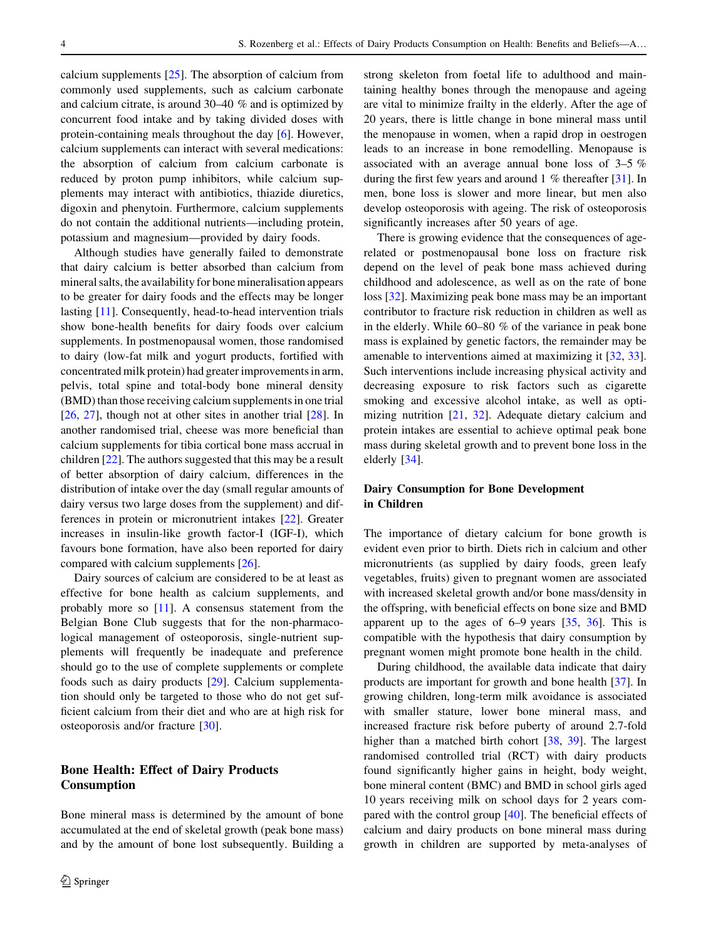calcium supplements [[25\]](#page-12-0). The absorption of calcium from commonly used supplements, such as calcium carbonate and calcium citrate, is around 30–40 % and is optimized by concurrent food intake and by taking divided doses with protein-containing meals throughout the day [\[6](#page-11-0)]. However, calcium supplements can interact with several medications: the absorption of calcium from calcium carbonate is reduced by proton pump inhibitors, while calcium supplements may interact with antibiotics, thiazide diuretics, digoxin and phenytoin. Furthermore, calcium supplements do not contain the additional nutrients—including protein, potassium and magnesium—provided by dairy foods.

Although studies have generally failed to demonstrate that dairy calcium is better absorbed than calcium from mineral salts, the availability for bone mineralisation appears to be greater for dairy foods and the effects may be longer lasting [[11\]](#page-12-0). Consequently, head-to-head intervention trials show bone-health benefits for dairy foods over calcium supplements. In postmenopausal women, those randomised to dairy (low-fat milk and yogurt products, fortified with concentrated milk protein) had greater improvements in arm, pelvis, total spine and total-body bone mineral density (BMD) than those receiving calcium supplements in one trial [\[26](#page-12-0), [27](#page-12-0)], though not at other sites in another trial [\[28](#page-12-0)]. In another randomised trial, cheese was more beneficial than calcium supplements for tibia cortical bone mass accrual in children [\[22](#page-12-0)]. The authors suggested that this may be a result of better absorption of dairy calcium, differences in the distribution of intake over the day (small regular amounts of dairy versus two large doses from the supplement) and differences in protein or micronutrient intakes [\[22](#page-12-0)]. Greater increases in insulin-like growth factor-I (IGF-I), which favours bone formation, have also been reported for dairy compared with calcium supplements [\[26](#page-12-0)].

Dairy sources of calcium are considered to be at least as effective for bone health as calcium supplements, and probably more so [[11\]](#page-12-0). A consensus statement from the Belgian Bone Club suggests that for the non-pharmacological management of osteoporosis, single-nutrient supplements will frequently be inadequate and preference should go to the use of complete supplements or complete foods such as dairy products [[29\]](#page-12-0). Calcium supplementation should only be targeted to those who do not get sufficient calcium from their diet and who are at high risk for osteoporosis and/or fracture [[30\]](#page-12-0).

# Bone Health: Effect of Dairy Products Consumption

Bone mineral mass is determined by the amount of bone accumulated at the end of skeletal growth (peak bone mass) and by the amount of bone lost subsequently. Building a strong skeleton from foetal life to adulthood and maintaining healthy bones through the menopause and ageing are vital to minimize frailty in the elderly. After the age of 20 years, there is little change in bone mineral mass until the menopause in women, when a rapid drop in oestrogen leads to an increase in bone remodelling. Menopause is associated with an average annual bone loss of 3–5 % during the first few years and around 1 % thereafter [[31\]](#page-12-0). In men, bone loss is slower and more linear, but men also develop osteoporosis with ageing. The risk of osteoporosis significantly increases after 50 years of age.

There is growing evidence that the consequences of agerelated or postmenopausal bone loss on fracture risk depend on the level of peak bone mass achieved during childhood and adolescence, as well as on the rate of bone loss [\[32](#page-12-0)]. Maximizing peak bone mass may be an important contributor to fracture risk reduction in children as well as in the elderly. While 60–80 % of the variance in peak bone mass is explained by genetic factors, the remainder may be amenable to interventions aimed at maximizing it [\[32](#page-12-0), [33](#page-12-0)]. Such interventions include increasing physical activity and decreasing exposure to risk factors such as cigarette smoking and excessive alcohol intake, as well as optimizing nutrition [[21,](#page-12-0) [32\]](#page-12-0). Adequate dietary calcium and protein intakes are essential to achieve optimal peak bone mass during skeletal growth and to prevent bone loss in the elderly [[34\]](#page-12-0).

# Dairy Consumption for Bone Development in Children

The importance of dietary calcium for bone growth is evident even prior to birth. Diets rich in calcium and other micronutrients (as supplied by dairy foods, green leafy vegetables, fruits) given to pregnant women are associated with increased skeletal growth and/or bone mass/density in the offspring, with beneficial effects on bone size and BMD apparent up to the ages of 6–9 years [[35,](#page-12-0) [36\]](#page-12-0). This is compatible with the hypothesis that dairy consumption by pregnant women might promote bone health in the child.

During childhood, the available data indicate that dairy products are important for growth and bone health [\[37](#page-12-0)]. In growing children, long-term milk avoidance is associated with smaller stature, lower bone mineral mass, and increased fracture risk before puberty of around 2.7-fold higher than a matched birth cohort [[38,](#page-12-0) [39\]](#page-12-0). The largest randomised controlled trial (RCT) with dairy products found significantly higher gains in height, body weight, bone mineral content (BMC) and BMD in school girls aged 10 years receiving milk on school days for 2 years compared with the control group [[40](#page-12-0)]. The beneficial effects of calcium and dairy products on bone mineral mass during growth in children are supported by meta-analyses of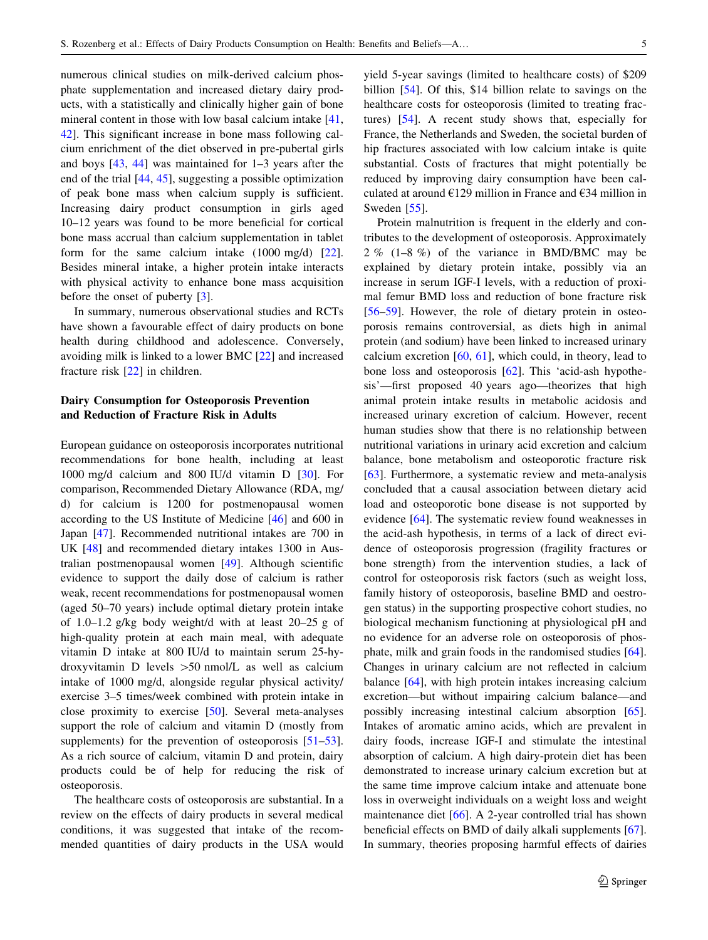numerous clinical studies on milk-derived calcium phosphate supplementation and increased dietary dairy products, with a statistically and clinically higher gain of bone mineral content in those with low basal calcium intake [[41,](#page-12-0) [42](#page-12-0)]. This significant increase in bone mass following calcium enrichment of the diet observed in pre-pubertal girls and boys [\[43](#page-12-0), [44](#page-13-0)] was maintained for 1–3 years after the end of the trial [[44](#page-13-0), [45\]](#page-13-0), suggesting a possible optimization of peak bone mass when calcium supply is sufficient. Increasing dairy product consumption in girls aged 10–12 years was found to be more beneficial for cortical bone mass accrual than calcium supplementation in tablet form for the same calcium intake (1000 mg/d) [\[22](#page-12-0)]. Besides mineral intake, a higher protein intake interacts with physical activity to enhance bone mass acquisition before the onset of puberty [[3\]](#page-11-0).

In summary, numerous observational studies and RCTs have shown a favourable effect of dairy products on bone health during childhood and adolescence. Conversely, avoiding milk is linked to a lower BMC [\[22](#page-12-0)] and increased fracture risk [\[22](#page-12-0)] in children.

## Dairy Consumption for Osteoporosis Prevention and Reduction of Fracture Risk in Adults

European guidance on osteoporosis incorporates nutritional recommendations for bone health, including at least 1000 mg/d calcium and 800 IU/d vitamin D [[30\]](#page-12-0). For comparison, Recommended Dietary Allowance (RDA, mg/ d) for calcium is 1200 for postmenopausal women according to the US Institute of Medicine [[46\]](#page-13-0) and 600 in Japan [[47\]](#page-13-0). Recommended nutritional intakes are 700 in UK [[48\]](#page-13-0) and recommended dietary intakes 1300 in Australian postmenopausal women [\[49](#page-13-0)]. Although scientific evidence to support the daily dose of calcium is rather weak, recent recommendations for postmenopausal women (aged 50–70 years) include optimal dietary protein intake of 1.0–1.2 g/kg body weight/d with at least 20–25 g of high-quality protein at each main meal, with adequate vitamin D intake at 800 IU/d to maintain serum 25-hydroxyvitamin D levels  $>50$  nmol/L as well as calcium intake of 1000 mg/d, alongside regular physical activity/ exercise 3–5 times/week combined with protein intake in close proximity to exercise [[50](#page-13-0)]. Several meta-analyses support the role of calcium and vitamin D (mostly from supplements) for the prevention of osteoporosis [\[51–53](#page-13-0)]. As a rich source of calcium, vitamin D and protein, dairy products could be of help for reducing the risk of osteoporosis.

The healthcare costs of osteoporosis are substantial. In a review on the effects of dairy products in several medical conditions, it was suggested that intake of the recommended quantities of dairy products in the USA would yield 5-year savings (limited to healthcare costs) of \$209 billion [[54\]](#page-13-0). Of this, \$14 billion relate to savings on the healthcare costs for osteoporosis (limited to treating fractures) [\[54](#page-13-0)]. A recent study shows that, especially for France, the Netherlands and Sweden, the societal burden of hip fractures associated with low calcium intake is quite substantial. Costs of fractures that might potentially be reduced by improving dairy consumption have been calculated at around €129 million in France and €34 million in Sweden [\[55](#page-13-0)].

Protein malnutrition is frequent in the elderly and contributes to the development of osteoporosis. Approximately 2 % (1–8 %) of the variance in BMD/BMC may be explained by dietary protein intake, possibly via an increase in serum IGF-I levels, with a reduction of proximal femur BMD loss and reduction of bone fracture risk [\[56–59](#page-13-0)]. However, the role of dietary protein in osteoporosis remains controversial, as diets high in animal protein (and sodium) have been linked to increased urinary calcium excretion  $[60, 61]$  $[60, 61]$  $[60, 61]$  $[60, 61]$  $[60, 61]$ , which could, in theory, lead to bone loss and osteoporosis [[62\]](#page-13-0). This 'acid-ash hypothesis'—first proposed 40 years ago—theorizes that high animal protein intake results in metabolic acidosis and increased urinary excretion of calcium. However, recent human studies show that there is no relationship between nutritional variations in urinary acid excretion and calcium balance, bone metabolism and osteoporotic fracture risk [\[63](#page-13-0)]. Furthermore, a systematic review and meta-analysis concluded that a causal association between dietary acid load and osteoporotic bone disease is not supported by evidence [\[64](#page-13-0)]. The systematic review found weaknesses in the acid-ash hypothesis, in terms of a lack of direct evidence of osteoporosis progression (fragility fractures or bone strength) from the intervention studies, a lack of control for osteoporosis risk factors (such as weight loss, family history of osteoporosis, baseline BMD and oestrogen status) in the supporting prospective cohort studies, no biological mechanism functioning at physiological pH and no evidence for an adverse role on osteoporosis of phosphate, milk and grain foods in the randomised studies [\[64](#page-13-0)]. Changes in urinary calcium are not reflected in calcium balance [\[64](#page-13-0)], with high protein intakes increasing calcium excretion—but without impairing calcium balance—and possibly increasing intestinal calcium absorption [\[65](#page-13-0)]. Intakes of aromatic amino acids, which are prevalent in dairy foods, increase IGF-I and stimulate the intestinal absorption of calcium. A high dairy-protein diet has been demonstrated to increase urinary calcium excretion but at the same time improve calcium intake and attenuate bone loss in overweight individuals on a weight loss and weight maintenance diet [\[66](#page-13-0)]. A 2-year controlled trial has shown beneficial effects on BMD of daily alkali supplements [\[67](#page-13-0)]. In summary, theories proposing harmful effects of dairies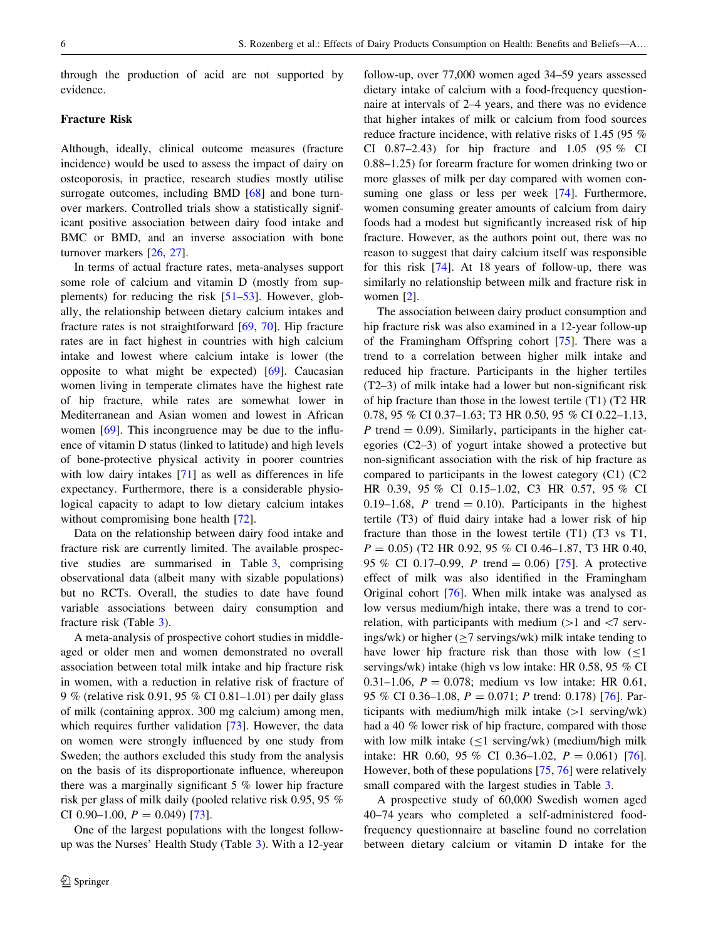through the production of acid are not supported by evidence.

## Fracture Risk

Although, ideally, clinical outcome measures (fracture incidence) would be used to assess the impact of dairy on osteoporosis, in practice, research studies mostly utilise surrogate outcomes, including BMD [[68\]](#page-13-0) and bone turnover markers. Controlled trials show a statistically significant positive association between dairy food intake and BMC or BMD, and an inverse association with bone turnover markers [\[26](#page-12-0), [27\]](#page-12-0).

In terms of actual fracture rates, meta-analyses support some role of calcium and vitamin D (mostly from supplements) for reducing the risk  $[51–53]$  $[51–53]$ . However, globally, the relationship between dietary calcium intakes and fracture rates is not straightforward [[69,](#page-13-0) [70\]](#page-13-0). Hip fracture rates are in fact highest in countries with high calcium intake and lowest where calcium intake is lower (the opposite to what might be expected) [[69\]](#page-13-0). Caucasian women living in temperate climates have the highest rate of hip fracture, while rates are somewhat lower in Mediterranean and Asian women and lowest in African women [[69\]](#page-13-0). This incongruence may be due to the influence of vitamin D status (linked to latitude) and high levels of bone-protective physical activity in poorer countries with low dairy intakes [\[71](#page-13-0)] as well as differences in life expectancy. Furthermore, there is a considerable physiological capacity to adapt to low dietary calcium intakes without compromising bone health [[72\]](#page-13-0).

Data on the relationship between dairy food intake and fracture risk are currently limited. The available prospective studies are summarised in Table [3,](#page-6-0) comprising observational data (albeit many with sizable populations) but no RCTs. Overall, the studies to date have found variable associations between dairy consumption and fracture risk (Table [3](#page-6-0)).

A meta-analysis of prospective cohort studies in middleaged or older men and women demonstrated no overall association between total milk intake and hip fracture risk in women, with a reduction in relative risk of fracture of 9 % (relative risk 0.91, 95 % CI 0.81–1.01) per daily glass of milk (containing approx. 300 mg calcium) among men, which requires further validation [[73\]](#page-13-0). However, the data on women were strongly influenced by one study from Sweden; the authors excluded this study from the analysis on the basis of its disproportionate influence, whereupon there was a marginally significant 5 % lower hip fracture risk per glass of milk daily (pooled relative risk 0.95, 95 % CI 0.90–1.00,  $P = 0.049$  [\[73\]](#page-13-0).

One of the largest populations with the longest followup was the Nurses' Health Study (Table [3](#page-6-0)). With a 12-year follow-up, over 77,000 women aged 34–59 years assessed dietary intake of calcium with a food-frequency questionnaire at intervals of 2–4 years, and there was no evidence that higher intakes of milk or calcium from food sources reduce fracture incidence, with relative risks of 1.45 (95 % CI 0.87–2.43) for hip fracture and 1.05 (95 % CI 0.88–1.25) for forearm fracture for women drinking two or more glasses of milk per day compared with women con-suming one glass or less per week [\[74](#page-13-0)]. Furthermore, women consuming greater amounts of calcium from dairy foods had a modest but significantly increased risk of hip fracture. However, as the authors point out, there was no reason to suggest that dairy calcium itself was responsible for this risk [\[74](#page-13-0)]. At 18 years of follow-up, there was similarly no relationship between milk and fracture risk in women [\[2](#page-11-0)].

The association between dairy product consumption and hip fracture risk was also examined in a 12-year follow-up of the Framingham Offspring cohort [\[75](#page-13-0)]. There was a trend to a correlation between higher milk intake and reduced hip fracture. Participants in the higher tertiles (T2–3) of milk intake had a lower but non-significant risk of hip fracture than those in the lowest tertile (T1) (T2 HR 0.78, 95 % CI 0.37–1.63; T3 HR 0.50, 95 % CI 0.22–1.13, P trend  $= 0.09$ ). Similarly, participants in the higher categories (C2–3) of yogurt intake showed a protective but non-significant association with the risk of hip fracture as compared to participants in the lowest category (C1) (C2 HR 0.39, 95 % CI 0.15–1.02, C3 HR 0.57, 95 % CI 0.19–1.68, P trend = 0.10). Participants in the highest tertile (T3) of fluid dairy intake had a lower risk of hip fracture than those in the lowest tertile (T1) (T3 vs T1,  $P = 0.05$ ) (T2 HR 0.92, 95 % CI 0.46–1.87, T3 HR 0.40, 95 % CI 0.17–0.99, P trend = 0.06) [[75\]](#page-13-0). A protective effect of milk was also identified in the Framingham Original cohort [[76\]](#page-14-0). When milk intake was analysed as low versus medium/high intake, there was a trend to correlation, with participants with medium  $(>1$  and  $< 7$  servings/wk) or higher  $(27$  servings/wk) milk intake tending to have lower hip fracture risk than those with low  $(\leq)$ servings/wk) intake (high vs low intake: HR 0.58, 95 % CI 0.31–1.06,  $P = 0.078$ ; medium vs low intake: HR 0.61, 95 % CI 0.36–1.08,  $P = 0.071$ ; P trend: 0.178) [\[76](#page-14-0)]. Participants with medium/high milk intake  $(1$  serving/wk) had a 40 % lower risk of hip fracture, compared with those with low milk intake  $(\leq 1$  serving/wk) (medium/high milk intake: HR 0.60, 95 % CI 0.36–1.02,  $P = 0.061$  [\[76](#page-14-0)]. However, both of these populations [[75,](#page-13-0) [76\]](#page-14-0) were relatively small compared with the largest studies in Table [3](#page-6-0).

A prospective study of 60,000 Swedish women aged 40–74 years who completed a self-administered foodfrequency questionnaire at baseline found no correlation between dietary calcium or vitamin D intake for the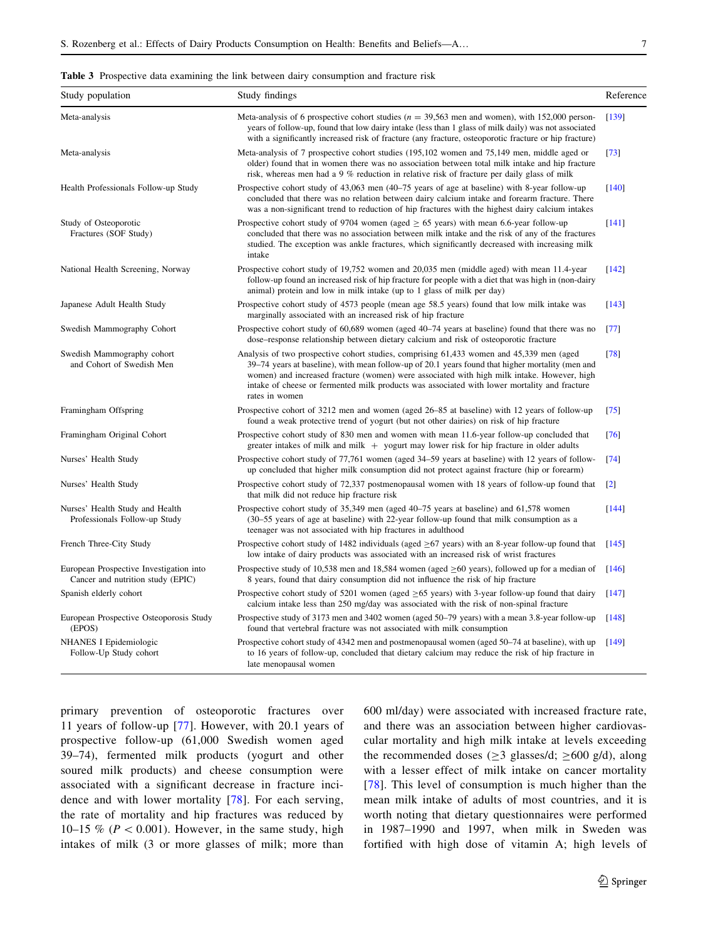<span id="page-6-0"></span>

|  |  |  |  |  |  |  |  | <b>Table 3</b> Prospective data examining the link between dairy consumption and fracture risk |  |  |  |  |
|--|--|--|--|--|--|--|--|------------------------------------------------------------------------------------------------|--|--|--|--|
|--|--|--|--|--|--|--|--|------------------------------------------------------------------------------------------------|--|--|--|--|

| Study population                                                             | Study findings                                                                                                                                                                                                                                                                                                                                                                                               | Reference           |  |  |
|------------------------------------------------------------------------------|--------------------------------------------------------------------------------------------------------------------------------------------------------------------------------------------------------------------------------------------------------------------------------------------------------------------------------------------------------------------------------------------------------------|---------------------|--|--|
| Meta-analysis                                                                | Meta-analysis of 6 prospective cohort studies ( $n = 39,563$ men and women), with 152,000 person-<br>years of follow-up, found that low dairy intake (less than 1 glass of milk daily) was not associated<br>with a significantly increased risk of fracture (any fracture, osteoporotic fracture or hip fracture)                                                                                           |                     |  |  |
| Meta-analysis                                                                | Meta-analysis of 7 prospective cohort studies (195,102 women and 75,149 men, middle aged or<br>older) found that in women there was no association between total milk intake and hip fracture<br>risk, whereas men had a 9 % reduction in relative risk of fracture per daily glass of milk                                                                                                                  |                     |  |  |
| Health Professionals Follow-up Study                                         | Prospective cohort study of 43,063 men (40–75 years of age at baseline) with 8-year follow-up<br>concluded that there was no relation between dairy calcium intake and forearm fracture. There<br>was a non-significant trend to reduction of hip fractures with the highest dairy calcium intakes                                                                                                           | $[140]$             |  |  |
| Study of Osteoporotic<br>Fractures (SOF Study)                               | Prospective cohort study of 9704 women (aged $\geq$ 65 years) with mean 6.6-year follow-up<br>concluded that there was no association between milk intake and the risk of any of the fractures<br>studied. The exception was ankle fractures, which significantly decreased with increasing milk<br>intake                                                                                                   | $[141]$             |  |  |
| National Health Screening, Norway                                            | Prospective cohort study of 19,752 women and 20,035 men (middle aged) with mean 11.4-year<br>follow-up found an increased risk of hip fracture for people with a diet that was high in (non-dairy<br>animal) protein and low in milk intake (up to 1 glass of milk per day)                                                                                                                                  | $[142]$             |  |  |
| Japanese Adult Health Study                                                  | Prospective cohort study of 4573 people (mean age 58.5 years) found that low milk intake was<br>marginally associated with an increased risk of hip fracture                                                                                                                                                                                                                                                 | $[143]$             |  |  |
| Swedish Mammography Cohort                                                   | Prospective cohort study of 60,689 women (aged 40–74 years at baseline) found that there was no<br>dose–response relationship between dietary calcium and risk of osteoporotic fracture                                                                                                                                                                                                                      | [77]                |  |  |
| Swedish Mammography cohort<br>and Cohort of Swedish Men                      | Analysis of two prospective cohort studies, comprising 61,433 women and 45,339 men (aged<br>39–74 years at baseline), with mean follow-up of 20.1 years found that higher mortality (men and<br>women) and increased fracture (women) were associated with high milk intake. However, high<br>intake of cheese or fermented milk products was associated with lower mortality and fracture<br>rates in women | $[78]$              |  |  |
| Framingham Offspring                                                         | Prospective cohort of 3212 men and women (aged 26–85 at baseline) with 12 years of follow-up<br>found a weak protective trend of yogurt (but not other dairies) on risk of hip fracture                                                                                                                                                                                                                      | [75]                |  |  |
| Framingham Original Cohort                                                   | Prospective cohort study of 830 men and women with mean 11.6-year follow-up concluded that<br>greater intakes of milk and milk $+$ yogurt may lower risk for hip fracture in older adults                                                                                                                                                                                                                    | [76]                |  |  |
| Nurses' Health Study                                                         | Prospective cohort study of 77,761 women (aged 34–59 years at baseline) with 12 years of follow-<br>up concluded that higher milk consumption did not protect against fracture (hip or forearm)                                                                                                                                                                                                              | [74]                |  |  |
| Nurses' Health Study                                                         | Prospective cohort study of 72,337 postmenopausal women with 18 years of follow-up found that<br>that milk did not reduce hip fracture risk                                                                                                                                                                                                                                                                  | $[2]$               |  |  |
| Nurses' Health Study and Health<br>Professionals Follow-up Study             | Prospective cohort study of 35,349 men (aged 40–75 years at baseline) and 61,578 women<br>(30–55 years of age at baseline) with 22-year follow-up found that milk consumption as a<br>teenager was not associated with hip fractures in adulthood                                                                                                                                                            | [144]               |  |  |
| French Three-City Study                                                      | Prospective cohort study of 1482 individuals (aged $\geq$ 67 years) with an 8-year follow-up found that<br>low intake of dairy products was associated with an increased risk of wrist fractures                                                                                                                                                                                                             | $\lceil 145 \rceil$ |  |  |
| European Prospective Investigation into<br>Cancer and nutrition study (EPIC) | Prospective study of 10,538 men and 18,584 women (aged $\geq 60$ years), followed up for a median of<br>8 years, found that dairy consumption did not influence the risk of hip fracture                                                                                                                                                                                                                     | [146]               |  |  |
| Spanish elderly cohort                                                       | Prospective cohort study of 5201 women (aged $\geq$ 65 years) with 3-year follow-up found that dairy<br>calcium intake less than 250 mg/day was associated with the risk of non-spinal fracture                                                                                                                                                                                                              | $[147]$             |  |  |
| European Prospective Osteoporosis Study<br>(EPOS)                            | Prospective study of 3173 men and 3402 women (aged 50–79 years) with a mean 3.8-year follow-up<br>found that vertebral fracture was not associated with milk consumption                                                                                                                                                                                                                                     | [148]               |  |  |
| NHANES I Epidemiologic<br>Follow-Up Study cohort                             | Prospective cohort study of 4342 men and postmenopausal women (aged 50–74 at baseline), with up<br>to 16 years of follow-up, concluded that dietary calcium may reduce the risk of hip fracture in<br>late menopausal women                                                                                                                                                                                  | [149]               |  |  |

primary prevention of osteoporotic fractures over 11 years of follow-up [\[77](#page-14-0)]. However, with 20.1 years of prospective follow-up (61,000 Swedish women aged 39–74), fermented milk products (yogurt and other soured milk products) and cheese consumption were associated with a significant decrease in fracture incidence and with lower mortality [\[78](#page-14-0)]. For each serving, the rate of mortality and hip fractures was reduced by 10–15 % ( $P < 0.001$ ). However, in the same study, high intakes of milk (3 or more glasses of milk; more than 600 ml/day) were associated with increased fracture rate, and there was an association between higher cardiovascular mortality and high milk intake at levels exceeding the recommended doses ( $\geq$ 3 glasses/d;  $\geq$ 600 g/d), along with a lesser effect of milk intake on cancer mortality [[78\]](#page-14-0). This level of consumption is much higher than the mean milk intake of adults of most countries, and it is worth noting that dietary questionnaires were performed in 1987–1990 and 1997, when milk in Sweden was fortified with high dose of vitamin A; high levels of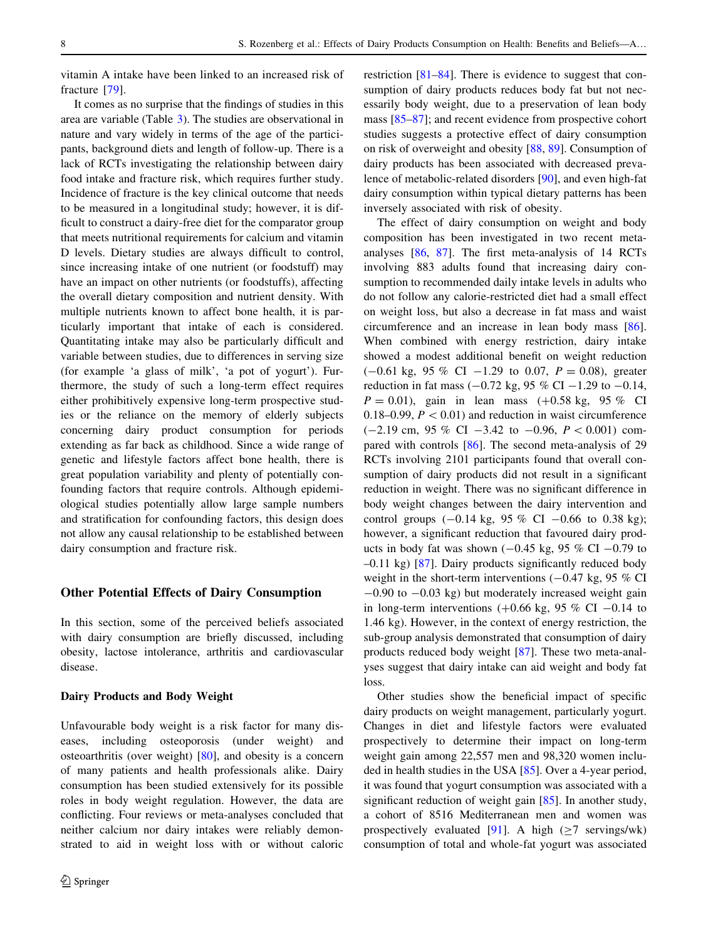vitamin A intake have been linked to an increased risk of fracture [\[79](#page-14-0)].

It comes as no surprise that the findings of studies in this area are variable (Table [3\)](#page-6-0). The studies are observational in nature and vary widely in terms of the age of the participants, background diets and length of follow-up. There is a lack of RCTs investigating the relationship between dairy food intake and fracture risk, which requires further study. Incidence of fracture is the key clinical outcome that needs to be measured in a longitudinal study; however, it is difficult to construct a dairy-free diet for the comparator group that meets nutritional requirements for calcium and vitamin D levels. Dietary studies are always difficult to control, since increasing intake of one nutrient (or foodstuff) may have an impact on other nutrients (or foodstuffs), affecting the overall dietary composition and nutrient density. With multiple nutrients known to affect bone health, it is particularly important that intake of each is considered. Quantitating intake may also be particularly difficult and variable between studies, due to differences in serving size (for example 'a glass of milk', 'a pot of yogurt'). Furthermore, the study of such a long-term effect requires either prohibitively expensive long-term prospective studies or the reliance on the memory of elderly subjects concerning dairy product consumption for periods extending as far back as childhood. Since a wide range of genetic and lifestyle factors affect bone health, there is great population variability and plenty of potentially confounding factors that require controls. Although epidemiological studies potentially allow large sample numbers and stratification for confounding factors, this design does not allow any causal relationship to be established between dairy consumption and fracture risk.

## Other Potential Effects of Dairy Consumption

In this section, some of the perceived beliefs associated with dairy consumption are briefly discussed, including obesity, lactose intolerance, arthritis and cardiovascular disease.

#### Dairy Products and Body Weight

Unfavourable body weight is a risk factor for many diseases, including osteoporosis (under weight) and osteoarthritis (over weight) [\[80](#page-14-0)], and obesity is a concern of many patients and health professionals alike. Dairy consumption has been studied extensively for its possible roles in body weight regulation. However, the data are conflicting. Four reviews or meta-analyses concluded that neither calcium nor dairy intakes were reliably demonstrated to aid in weight loss with or without caloric restriction [\[81](#page-14-0)–[84](#page-14-0)]. There is evidence to suggest that consumption of dairy products reduces body fat but not necessarily body weight, due to a preservation of lean body mass [[85–87\]](#page-14-0); and recent evidence from prospective cohort studies suggests a protective effect of dairy consumption on risk of overweight and obesity [\[88](#page-14-0), [89](#page-14-0)]. Consumption of dairy products has been associated with decreased prevalence of metabolic-related disorders [[90\]](#page-14-0), and even high-fat dairy consumption within typical dietary patterns has been inversely associated with risk of obesity.

The effect of dairy consumption on weight and body composition has been investigated in two recent metaanalyses [[86,](#page-14-0) [87](#page-14-0)]. The first meta-analysis of 14 RCTs involving 883 adults found that increasing dairy consumption to recommended daily intake levels in adults who do not follow any calorie-restricted diet had a small effect on weight loss, but also a decrease in fat mass and waist circumference and an increase in lean body mass [\[86](#page-14-0)]. When combined with energy restriction, dairy intake showed a modest additional benefit on weight reduction  $(-0.61 \text{ kg}, 95 \% \text{ CI} -1.29 \text{ to } 0.07, P = 0.08)$ , greater reduction in fat mass  $(-0.72 \text{ kg}, 95 \% \text{ CI} -1.29 \text{ to } -0.14,$  $P = 0.01$ ), gain in lean mass  $(+0.58 \text{ kg}, 95 \%$  CI 0.18–0.99,  $P < 0.01$ ) and reduction in waist circumference  $(-2.19 \text{ cm}, 95 \% \text{ CI} -3.42 \text{ to } -0.96, P < 0.001) \text{ com-}$ pared with controls [[86\]](#page-14-0). The second meta-analysis of 29 RCTs involving 2101 participants found that overall consumption of dairy products did not result in a significant reduction in weight. There was no significant difference in body weight changes between the dairy intervention and control groups  $(-0.14 \text{ kg}, 95 \% \text{ CI} -0.66 \text{ to } 0.38 \text{ kg});$ however, a significant reduction that favoured dairy products in body fat was shown  $(-0.45 \text{ kg}, 95 \% \text{ CI} -0.79 \text{ to}$ –0.11 kg) [\[87](#page-14-0)]. Dairy products significantly reduced body weight in the short-term interventions  $(-0.47 \text{ kg}, 95 \% \text{ CI})$  $-0.90$  to  $-0.03$  kg) but moderately increased weight gain in long-term interventions  $(+0.66 \text{ kg}, 95 \% \text{ CI} -0.14 \text{ to}$ 1.46 kg). However, in the context of energy restriction, the sub-group analysis demonstrated that consumption of dairy products reduced body weight [\[87](#page-14-0)]. These two meta-analyses suggest that dairy intake can aid weight and body fat loss.

Other studies show the beneficial impact of specific dairy products on weight management, particularly yogurt. Changes in diet and lifestyle factors were evaluated prospectively to determine their impact on long-term weight gain among 22,557 men and 98,320 women included in health studies in the USA [[85\]](#page-14-0). Over a 4-year period, it was found that yogurt consumption was associated with a significant reduction of weight gain [[85\]](#page-14-0). In another study, a cohort of 8516 Mediterranean men and women was prospectively evaluated [\[91](#page-14-0)]. A high ( $\geq$ 7 servings/wk) consumption of total and whole-fat yogurt was associated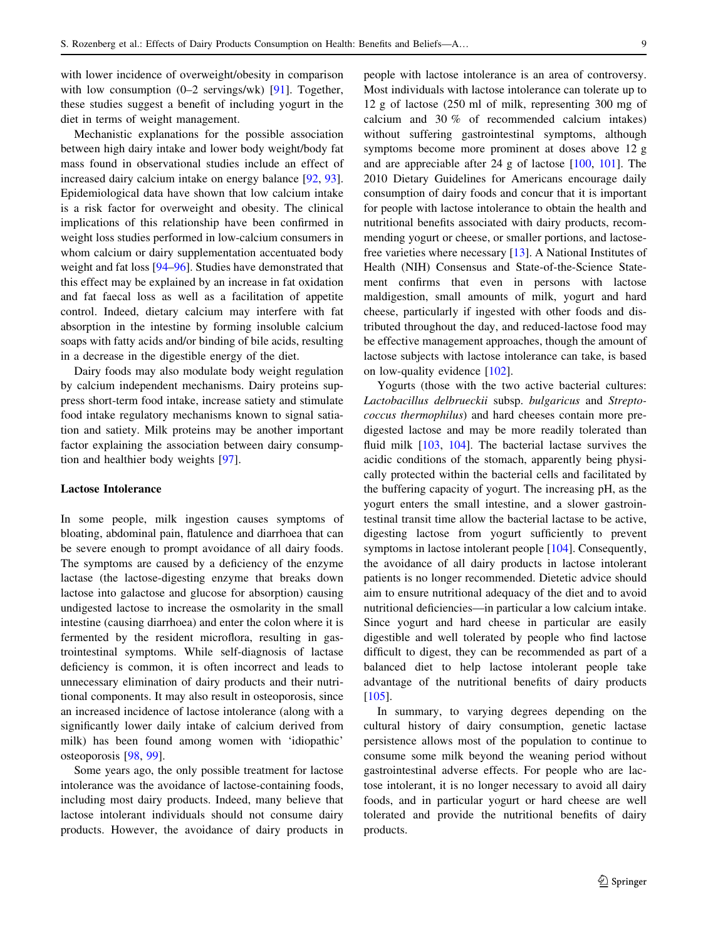with lower incidence of overweight/obesity in comparison with low consumption  $(0-2 \text{ servings/wk})$  [\[91](#page-14-0)]. Together, these studies suggest a benefit of including yogurt in the diet in terms of weight management.

Mechanistic explanations for the possible association between high dairy intake and lower body weight/body fat mass found in observational studies include an effect of increased dairy calcium intake on energy balance [[92,](#page-14-0) [93](#page-14-0)]. Epidemiological data have shown that low calcium intake is a risk factor for overweight and obesity. The clinical implications of this relationship have been confirmed in weight loss studies performed in low-calcium consumers in whom calcium or dairy supplementation accentuated body weight and fat loss [[94–96\]](#page-14-0). Studies have demonstrated that this effect may be explained by an increase in fat oxidation and fat faecal loss as well as a facilitation of appetite control. Indeed, dietary calcium may interfere with fat absorption in the intestine by forming insoluble calcium soaps with fatty acids and/or binding of bile acids, resulting in a decrease in the digestible energy of the diet.

Dairy foods may also modulate body weight regulation by calcium independent mechanisms. Dairy proteins suppress short-term food intake, increase satiety and stimulate food intake regulatory mechanisms known to signal satiation and satiety. Milk proteins may be another important factor explaining the association between dairy consumption and healthier body weights [\[97](#page-14-0)].

#### Lactose Intolerance

In some people, milk ingestion causes symptoms of bloating, abdominal pain, flatulence and diarrhoea that can be severe enough to prompt avoidance of all dairy foods. The symptoms are caused by a deficiency of the enzyme lactase (the lactose-digesting enzyme that breaks down lactose into galactose and glucose for absorption) causing undigested lactose to increase the osmolarity in the small intestine (causing diarrhoea) and enter the colon where it is fermented by the resident microflora, resulting in gastrointestinal symptoms. While self-diagnosis of lactase deficiency is common, it is often incorrect and leads to unnecessary elimination of dairy products and their nutritional components. It may also result in osteoporosis, since an increased incidence of lactose intolerance (along with a significantly lower daily intake of calcium derived from milk) has been found among women with 'idiopathic' osteoporosis [[98,](#page-14-0) [99](#page-14-0)].

Some years ago, the only possible treatment for lactose intolerance was the avoidance of lactose-containing foods, including most dairy products. Indeed, many believe that lactose intolerant individuals should not consume dairy products. However, the avoidance of dairy products in people with lactose intolerance is an area of controversy. Most individuals with lactose intolerance can tolerate up to 12 g of lactose (250 ml of milk, representing 300 mg of calcium and 30 % of recommended calcium intakes) without suffering gastrointestinal symptoms, although symptoms become more prominent at doses above 12 g and are appreciable after 24 g of lactose [[100,](#page-14-0) [101\]](#page-14-0). The 2010 Dietary Guidelines for Americans encourage daily consumption of dairy foods and concur that it is important for people with lactose intolerance to obtain the health and nutritional benefits associated with dairy products, recommending yogurt or cheese, or smaller portions, and lactosefree varieties where necessary [\[13](#page-12-0)]. A National Institutes of Health (NIH) Consensus and State-of-the-Science Statement confirms that even in persons with lactose maldigestion, small amounts of milk, yogurt and hard cheese, particularly if ingested with other foods and distributed throughout the day, and reduced-lactose food may be effective management approaches, though the amount of lactose subjects with lactose intolerance can take, is based on low-quality evidence [\[102](#page-14-0)].

Yogurts (those with the two active bacterial cultures: Lactobacillus delbrueckii subsp. bulgaricus and Streptococcus thermophilus) and hard cheeses contain more predigested lactose and may be more readily tolerated than fluid milk [\[103](#page-14-0), [104](#page-14-0)]. The bacterial lactase survives the acidic conditions of the stomach, apparently being physically protected within the bacterial cells and facilitated by the buffering capacity of yogurt. The increasing pH, as the yogurt enters the small intestine, and a slower gastrointestinal transit time allow the bacterial lactase to be active, digesting lactose from yogurt sufficiently to prevent symptoms in lactose intolerant people [[104](#page-14-0)]. Consequently, the avoidance of all dairy products in lactose intolerant patients is no longer recommended. Dietetic advice should aim to ensure nutritional adequacy of the diet and to avoid nutritional deficiencies—in particular a low calcium intake. Since yogurt and hard cheese in particular are easily digestible and well tolerated by people who find lactose difficult to digest, they can be recommended as part of a balanced diet to help lactose intolerant people take advantage of the nutritional benefits of dairy products [\[105](#page-14-0)].

In summary, to varying degrees depending on the cultural history of dairy consumption, genetic lactase persistence allows most of the population to continue to consume some milk beyond the weaning period without gastrointestinal adverse effects. For people who are lactose intolerant, it is no longer necessary to avoid all dairy foods, and in particular yogurt or hard cheese are well tolerated and provide the nutritional benefits of dairy products.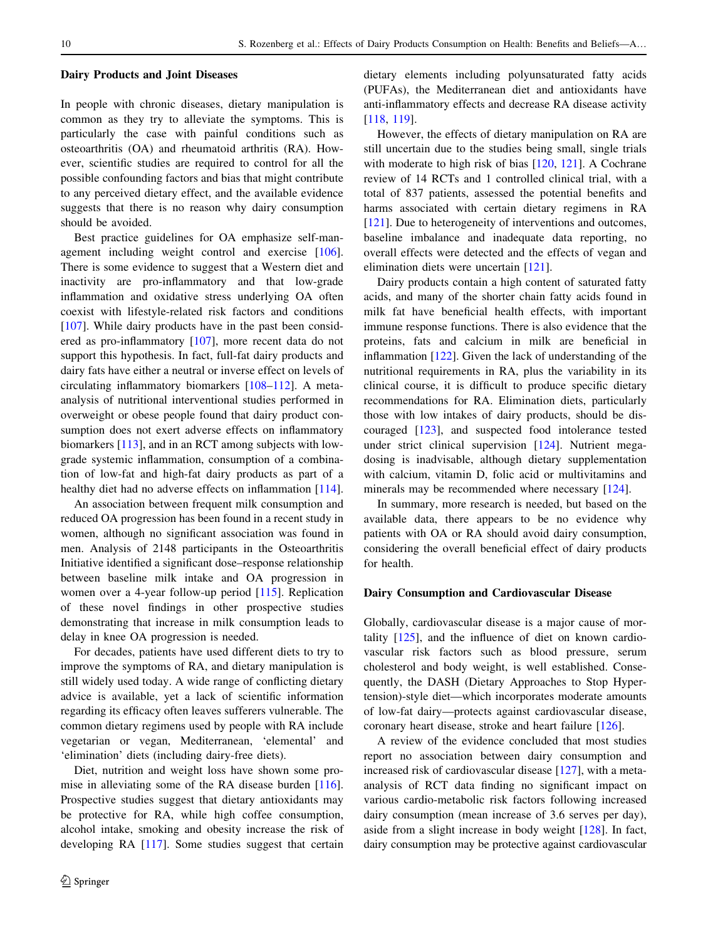#### Dairy Products and Joint Diseases

In people with chronic diseases, dietary manipulation is common as they try to alleviate the symptoms. This is particularly the case with painful conditions such as osteoarthritis (OA) and rheumatoid arthritis (RA). However, scientific studies are required to control for all the possible confounding factors and bias that might contribute to any perceived dietary effect, and the available evidence suggests that there is no reason why dairy consumption should be avoided.

Best practice guidelines for OA emphasize self-management including weight control and exercise [\[106](#page-14-0)]. There is some evidence to suggest that a Western diet and inactivity are pro-inflammatory and that low-grade inflammation and oxidative stress underlying OA often coexist with lifestyle-related risk factors and conditions [\[107](#page-14-0)]. While dairy products have in the past been considered as pro-inflammatory [[107\]](#page-14-0), more recent data do not support this hypothesis. In fact, full-fat dairy products and dairy fats have either a neutral or inverse effect on levels of circulating inflammatory biomarkers [\[108–](#page-14-0)[112](#page-15-0)]. A metaanalysis of nutritional interventional studies performed in overweight or obese people found that dairy product consumption does not exert adverse effects on inflammatory biomarkers [[113\]](#page-15-0), and in an RCT among subjects with lowgrade systemic inflammation, consumption of a combination of low-fat and high-fat dairy products as part of a healthy diet had no adverse effects on inflammation [\[114](#page-15-0)].

An association between frequent milk consumption and reduced OA progression has been found in a recent study in women, although no significant association was found in men. Analysis of 2148 participants in the Osteoarthritis Initiative identified a significant dose–response relationship between baseline milk intake and OA progression in women over a 4-year follow-up period [\[115](#page-15-0)]. Replication of these novel findings in other prospective studies demonstrating that increase in milk consumption leads to delay in knee OA progression is needed.

For decades, patients have used different diets to try to improve the symptoms of RA, and dietary manipulation is still widely used today. A wide range of conflicting dietary advice is available, yet a lack of scientific information regarding its efficacy often leaves sufferers vulnerable. The common dietary regimens used by people with RA include vegetarian or vegan, Mediterranean, 'elemental' and 'elimination' diets (including dairy-free diets).

Diet, nutrition and weight loss have shown some promise in alleviating some of the RA disease burden [\[116](#page-15-0)]. Prospective studies suggest that dietary antioxidants may be protective for RA, while high coffee consumption, alcohol intake, smoking and obesity increase the risk of developing RA [\[117](#page-15-0)]. Some studies suggest that certain dietary elements including polyunsaturated fatty acids (PUFAs), the Mediterranean diet and antioxidants have anti-inflammatory effects and decrease RA disease activity [\[118](#page-15-0), [119](#page-15-0)].

However, the effects of dietary manipulation on RA are still uncertain due to the studies being small, single trials with moderate to high risk of bias [\[120](#page-15-0), [121\]](#page-15-0). A Cochrane review of 14 RCTs and 1 controlled clinical trial, with a total of 837 patients, assessed the potential benefits and harms associated with certain dietary regimens in RA [\[121](#page-15-0)]. Due to heterogeneity of interventions and outcomes, baseline imbalance and inadequate data reporting, no overall effects were detected and the effects of vegan and elimination diets were uncertain [\[121](#page-15-0)].

Dairy products contain a high content of saturated fatty acids, and many of the shorter chain fatty acids found in milk fat have beneficial health effects, with important immune response functions. There is also evidence that the proteins, fats and calcium in milk are beneficial in inflammation [[122\]](#page-15-0). Given the lack of understanding of the nutritional requirements in RA, plus the variability in its clinical course, it is difficult to produce specific dietary recommendations for RA. Elimination diets, particularly those with low intakes of dairy products, should be discouraged [\[123](#page-15-0)], and suspected food intolerance tested under strict clinical supervision [[124\]](#page-15-0). Nutrient megadosing is inadvisable, although dietary supplementation with calcium, vitamin D, folic acid or multivitamins and minerals may be recommended where necessary [[124\]](#page-15-0).

In summary, more research is needed, but based on the available data, there appears to be no evidence why patients with OA or RA should avoid dairy consumption, considering the overall beneficial effect of dairy products for health.

#### Dairy Consumption and Cardiovascular Disease

Globally, cardiovascular disease is a major cause of mortality [[125\]](#page-15-0), and the influence of diet on known cardiovascular risk factors such as blood pressure, serum cholesterol and body weight, is well established. Consequently, the DASH (Dietary Approaches to Stop Hypertension)-style diet—which incorporates moderate amounts of low-fat dairy—protects against cardiovascular disease, coronary heart disease, stroke and heart failure [[126\]](#page-15-0).

A review of the evidence concluded that most studies report no association between dairy consumption and increased risk of cardiovascular disease [[127\]](#page-15-0), with a metaanalysis of RCT data finding no significant impact on various cardio-metabolic risk factors following increased dairy consumption (mean increase of 3.6 serves per day), aside from a slight increase in body weight [[128\]](#page-15-0). In fact, dairy consumption may be protective against cardiovascular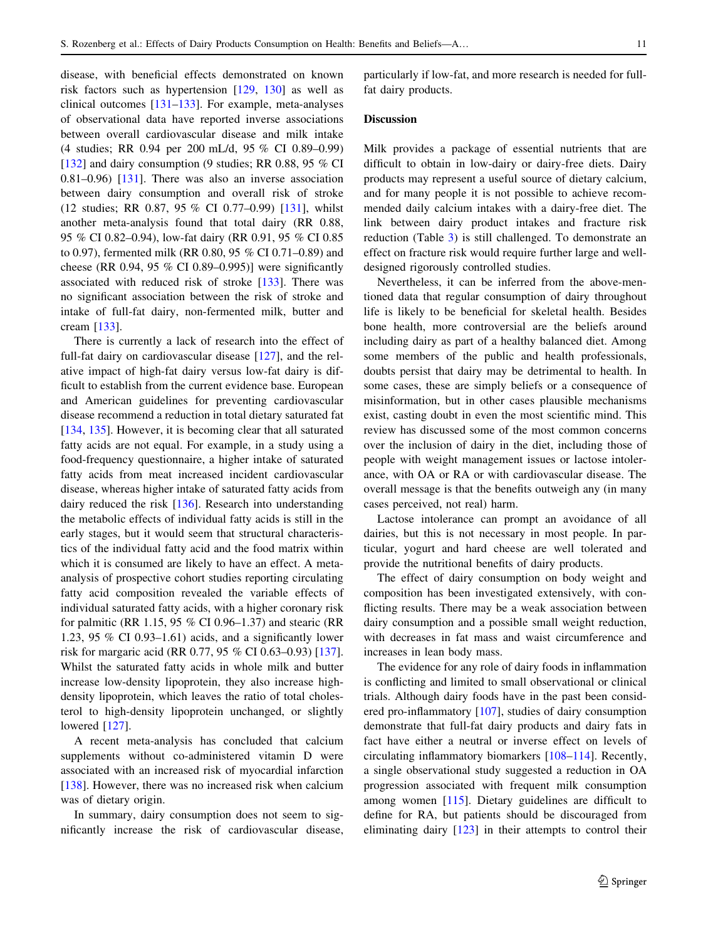disease, with beneficial effects demonstrated on known risk factors such as hypertension [[129,](#page-15-0) [130](#page-15-0)] as well as clinical outcomes [[131–133\]](#page-15-0). For example, meta-analyses of observational data have reported inverse associations between overall cardiovascular disease and milk intake (4 studies; RR 0.94 per 200 mL/d, 95 % CI 0.89–0.99) [\[132](#page-15-0)] and dairy consumption (9 studies; RR 0.88, 95  $%$  CI 0.81–0.96) [\[131](#page-15-0)]. There was also an inverse association between dairy consumption and overall risk of stroke (12 studies; RR 0.87, 95 % CI 0.77–0.99) [\[131](#page-15-0)], whilst another meta-analysis found that total dairy (RR 0.88, 95 % CI 0.82–0.94), low-fat dairy (RR 0.91, 95 % CI 0.85 to 0.97), fermented milk (RR 0.80, 95 % CI 0.71–0.89) and cheese (RR 0.94, 95 % CI 0.89–0.995)] were significantly associated with reduced risk of stroke [\[133](#page-15-0)]. There was no significant association between the risk of stroke and intake of full-fat dairy, non-fermented milk, butter and cream [\[133](#page-15-0)].

There is currently a lack of research into the effect of full-fat dairy on cardiovascular disease [\[127](#page-15-0)], and the relative impact of high-fat dairy versus low-fat dairy is difficult to establish from the current evidence base. European and American guidelines for preventing cardiovascular disease recommend a reduction in total dietary saturated fat [\[134](#page-15-0), [135\]](#page-15-0). However, it is becoming clear that all saturated fatty acids are not equal. For example, in a study using a food-frequency questionnaire, a higher intake of saturated fatty acids from meat increased incident cardiovascular disease, whereas higher intake of saturated fatty acids from dairy reduced the risk [\[136](#page-15-0)]. Research into understanding the metabolic effects of individual fatty acids is still in the early stages, but it would seem that structural characteristics of the individual fatty acid and the food matrix within which it is consumed are likely to have an effect. A metaanalysis of prospective cohort studies reporting circulating fatty acid composition revealed the variable effects of individual saturated fatty acids, with a higher coronary risk for palmitic (RR 1.15, 95 % CI 0.96–1.37) and stearic (RR 1.23, 95 % CI 0.93–1.61) acids, and a significantly lower risk for margaric acid (RR 0.77, 95 % CI 0.63–0.93) [\[137](#page-15-0)]. Whilst the saturated fatty acids in whole milk and butter increase low-density lipoprotein, they also increase highdensity lipoprotein, which leaves the ratio of total cholesterol to high-density lipoprotein unchanged, or slightly lowered [[127\]](#page-15-0).

A recent meta-analysis has concluded that calcium supplements without co-administered vitamin D were associated with an increased risk of myocardial infarction [\[138](#page-16-0)]. However, there was no increased risk when calcium was of dietary origin.

In summary, dairy consumption does not seem to significantly increase the risk of cardiovascular disease, particularly if low-fat, and more research is needed for fullfat dairy products.

## Discussion

Milk provides a package of essential nutrients that are difficult to obtain in low-dairy or dairy-free diets. Dairy products may represent a useful source of dietary calcium, and for many people it is not possible to achieve recommended daily calcium intakes with a dairy-free diet. The link between dairy product intakes and fracture risk reduction (Table [3](#page-6-0)) is still challenged. To demonstrate an effect on fracture risk would require further large and welldesigned rigorously controlled studies.

Nevertheless, it can be inferred from the above-mentioned data that regular consumption of dairy throughout life is likely to be beneficial for skeletal health. Besides bone health, more controversial are the beliefs around including dairy as part of a healthy balanced diet. Among some members of the public and health professionals, doubts persist that dairy may be detrimental to health. In some cases, these are simply beliefs or a consequence of misinformation, but in other cases plausible mechanisms exist, casting doubt in even the most scientific mind. This review has discussed some of the most common concerns over the inclusion of dairy in the diet, including those of people with weight management issues or lactose intolerance, with OA or RA or with cardiovascular disease. The overall message is that the benefits outweigh any (in many cases perceived, not real) harm.

Lactose intolerance can prompt an avoidance of all dairies, but this is not necessary in most people. In particular, yogurt and hard cheese are well tolerated and provide the nutritional benefits of dairy products.

The effect of dairy consumption on body weight and composition has been investigated extensively, with conflicting results. There may be a weak association between dairy consumption and a possible small weight reduction, with decreases in fat mass and waist circumference and increases in lean body mass.

The evidence for any role of dairy foods in inflammation is conflicting and limited to small observational or clinical trials. Although dairy foods have in the past been considered pro-inflammatory [\[107](#page-14-0)], studies of dairy consumption demonstrate that full-fat dairy products and dairy fats in fact have either a neutral or inverse effect on levels of circulating inflammatory biomarkers [[108–](#page-14-0)[114\]](#page-15-0). Recently, a single observational study suggested a reduction in OA progression associated with frequent milk consumption among women [[115\]](#page-15-0). Dietary guidelines are difficult to define for RA, but patients should be discouraged from eliminating dairy [[123\]](#page-15-0) in their attempts to control their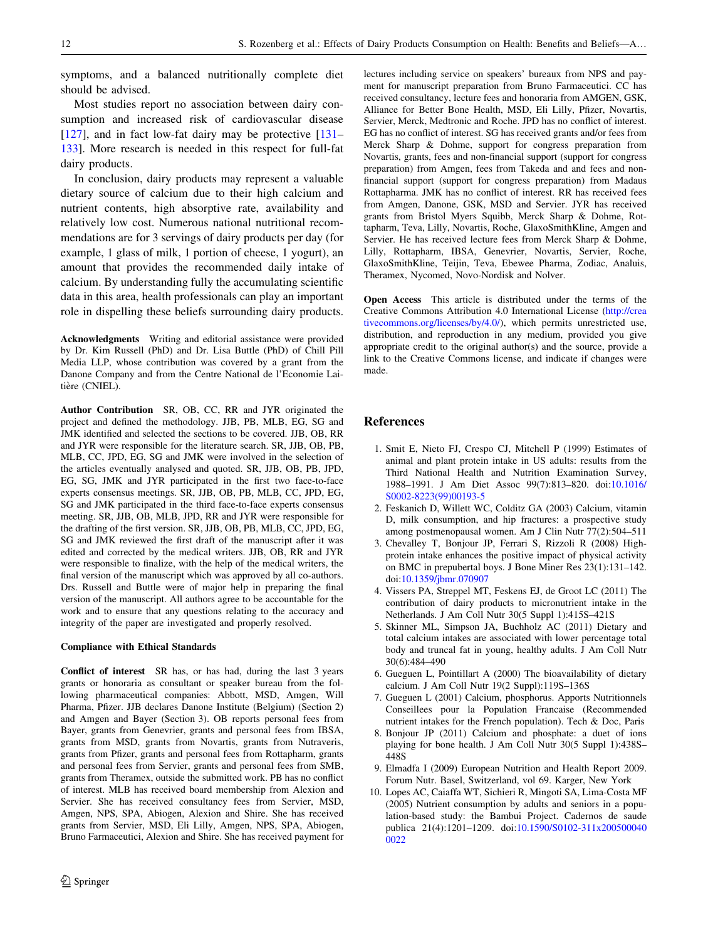<span id="page-11-0"></span>symptoms, and a balanced nutritionally complete diet should be advised.

Most studies report no association between dairy consumption and increased risk of cardiovascular disease  $[127]$  $[127]$ , and in fact low-fat dairy may be protective  $[131]$  $[131]$ [133\]](#page-15-0). More research is needed in this respect for full-fat dairy products.

In conclusion, dairy products may represent a valuable dietary source of calcium due to their high calcium and nutrient contents, high absorptive rate, availability and relatively low cost. Numerous national nutritional recommendations are for 3 servings of dairy products per day (for example, 1 glass of milk, 1 portion of cheese, 1 yogurt), an amount that provides the recommended daily intake of calcium. By understanding fully the accumulating scientific data in this area, health professionals can play an important role in dispelling these beliefs surrounding dairy products.

Acknowledgments Writing and editorial assistance were provided by Dr. Kim Russell (PhD) and Dr. Lisa Buttle (PhD) of Chill Pill Media LLP, whose contribution was covered by a grant from the Danone Company and from the Centre National de l'Economie Laitière (CNIEL).

Author Contribution SR, OB, CC, RR and JYR originated the project and defined the methodology. JJB, PB, MLB, EG, SG and JMK identified and selected the sections to be covered. JJB, OB, RR and JYR were responsible for the literature search. SR, JJB, OB, PB, MLB, CC, JPD, EG, SG and JMK were involved in the selection of the articles eventually analysed and quoted. SR, JJB, OB, PB, JPD, EG, SG, JMK and JYR participated in the first two face-to-face experts consensus meetings. SR, JJB, OB, PB, MLB, CC, JPD, EG, SG and JMK participated in the third face-to-face experts consensus meeting. SR, JJB, OB, MLB, JPD, RR and JYR were responsible for the drafting of the first version. SR, JJB, OB, PB, MLB, CC, JPD, EG, SG and JMK reviewed the first draft of the manuscript after it was edited and corrected by the medical writers. JJB, OB, RR and JYR were responsible to finalize, with the help of the medical writers, the final version of the manuscript which was approved by all co-authors. Drs. Russell and Buttle were of major help in preparing the final version of the manuscript. All authors agree to be accountable for the work and to ensure that any questions relating to the accuracy and integrity of the paper are investigated and properly resolved.

#### Compliance with Ethical Standards

Conflict of interest SR has, or has had, during the last 3 years grants or honoraria as consultant or speaker bureau from the following pharmaceutical companies: Abbott, MSD, Amgen, Will Pharma, Pfizer. JJB declares Danone Institute (Belgium) (Section 2) and Amgen and Bayer (Section 3). OB reports personal fees from Bayer, grants from Genevrier, grants and personal fees from IBSA, grants from MSD, grants from Novartis, grants from Nutraveris, grants from Pfizer, grants and personal fees from Rottapharm, grants and personal fees from Servier, grants and personal fees from SMB, grants from Theramex, outside the submitted work. PB has no conflict of interest. MLB has received board membership from Alexion and Servier. She has received consultancy fees from Servier, MSD, Amgen, NPS, SPA, Abiogen, Alexion and Shire. She has received grants from Servier, MSD, Eli Lilly, Amgen, NPS, SPA, Abiogen, Bruno Farmaceutici, Alexion and Shire. She has received payment for lectures including service on speakers' bureaux from NPS and payment for manuscript preparation from Bruno Farmaceutici. CC has received consultancy, lecture fees and honoraria from AMGEN, GSK, Alliance for Better Bone Health, MSD, Eli Lilly, Pfizer, Novartis, Servier, Merck, Medtronic and Roche. JPD has no conflict of interest. EG has no conflict of interest. SG has received grants and/or fees from Merck Sharp & Dohme, support for congress preparation from Novartis, grants, fees and non-financial support (support for congress preparation) from Amgen, fees from Takeda and and fees and nonfinancial support (support for congress preparation) from Madaus Rottapharma. JMK has no conflict of interest. RR has received fees from Amgen, Danone, GSK, MSD and Servier. JYR has received grants from Bristol Myers Squibb, Merck Sharp & Dohme, Rottapharm, Teva, Lilly, Novartis, Roche, GlaxoSmithKline, Amgen and Servier. He has received lecture fees from Merck Sharp & Dohme, Lilly, Rottapharm, IBSA, Genevrier, Novartis, Servier, Roche, GlaxoSmithKline, Teijin, Teva, Ebewee Pharma, Zodiac, Analuis, Theramex, Nycomed, Novo-Nordisk and Nolver.

Open Access This article is distributed under the terms of the Creative Commons Attribution 4.0 International License ([http://crea](http://creativecommons.org/licenses/by/4.0/) [tivecommons.org/licenses/by/4.0/\)](http://creativecommons.org/licenses/by/4.0/), which permits unrestricted use, distribution, and reproduction in any medium, provided you give appropriate credit to the original author(s) and the source, provide a link to the Creative Commons license, and indicate if changes were made.

## References

- 1. Smit E, Nieto FJ, Crespo CJ, Mitchell P (1999) Estimates of animal and plant protein intake in US adults: results from the Third National Health and Nutrition Examination Survey, 1988–1991. J Am Diet Assoc 99(7):813–820. doi[:10.1016/](http://dx.doi.org/10.1016/S0002-8223(99)00193-5) [S0002-8223\(99\)00193-5](http://dx.doi.org/10.1016/S0002-8223(99)00193-5)
- 2. Feskanich D, Willett WC, Colditz GA (2003) Calcium, vitamin D, milk consumption, and hip fractures: a prospective study among postmenopausal women. Am J Clin Nutr 77(2):504–511
- 3. Chevalley T, Bonjour JP, Ferrari S, Rizzoli R (2008) Highprotein intake enhances the positive impact of physical activity on BMC in prepubertal boys. J Bone Miner Res 23(1):131–142. doi:[10.1359/jbmr.070907](http://dx.doi.org/10.1359/jbmr.070907)
- 4. Vissers PA, Streppel MT, Feskens EJ, de Groot LC (2011) The contribution of dairy products to micronutrient intake in the Netherlands. J Am Coll Nutr 30(5 Suppl 1):415S–421S
- 5. Skinner ML, Simpson JA, Buchholz AC (2011) Dietary and total calcium intakes are associated with lower percentage total body and truncal fat in young, healthy adults. J Am Coll Nutr 30(6):484–490
- 6. Gueguen L, Pointillart A (2000) The bioavailability of dietary calcium. J Am Coll Nutr 19(2 Suppl):119S–136S
- 7. Gueguen L (2001) Calcium, phosphorus. Apports Nutritionnels Conseillees pour la Population Francaise (Recommended nutrient intakes for the French population). Tech & Doc, Paris
- 8. Bonjour JP (2011) Calcium and phosphate: a duet of ions playing for bone health. J Am Coll Nutr 30(5 Suppl 1):438S– 448S
- 9. Elmadfa I (2009) European Nutrition and Health Report 2009. Forum Nutr. Basel, Switzerland, vol 69. Karger, New York
- 10. Lopes AC, Caiaffa WT, Sichieri R, Mingoti SA, Lima-Costa MF (2005) Nutrient consumption by adults and seniors in a population-based study: the Bambui Project. Cadernos de saude publica 21(4):1201–1209. doi:[10.1590/S0102-311x200500040](http://dx.doi.org/10.1590/S0102-311x2005000400022) [0022](http://dx.doi.org/10.1590/S0102-311x2005000400022)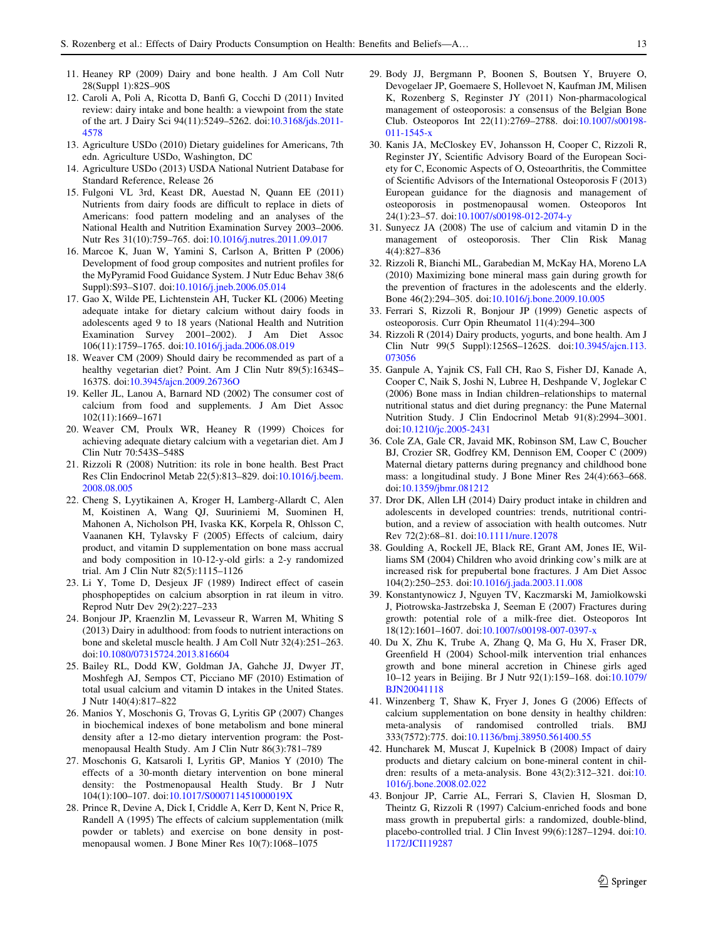- <span id="page-12-0"></span>11. Heaney RP (2009) Dairy and bone health. J Am Coll Nutr 28(Suppl 1):82S–90S
- 12. Caroli A, Poli A, Ricotta D, Banfi G, Cocchi D (2011) Invited review: dairy intake and bone health: a viewpoint from the state of the art. J Dairy Sci 94(11):5249–5262. doi[:10.3168/jds.2011-](http://dx.doi.org/10.3168/jds.2011-4578) [4578](http://dx.doi.org/10.3168/jds.2011-4578)
- 13. Agriculture USDo (2010) Dietary guidelines for Americans, 7th edn. Agriculture USDo, Washington, DC
- 14. Agriculture USDo (2013) USDA National Nutrient Database for Standard Reference, Release 26
- 15. Fulgoni VL 3rd, Keast DR, Auestad N, Quann EE (2011) Nutrients from dairy foods are difficult to replace in diets of Americans: food pattern modeling and an analyses of the National Health and Nutrition Examination Survey 2003–2006. Nutr Res 31(10):759–765. doi[:10.1016/j.nutres.2011.09.017](http://dx.doi.org/10.1016/j.nutres.2011.09.017)
- 16. Marcoe K, Juan W, Yamini S, Carlson A, Britten P (2006) Development of food group composites and nutrient profiles for the MyPyramid Food Guidance System. J Nutr Educ Behav 38(6 Suppl):S93–S107. doi[:10.1016/j.jneb.2006.05.014](http://dx.doi.org/10.1016/j.jneb.2006.05.014)
- 17. Gao X, Wilde PE, Lichtenstein AH, Tucker KL (2006) Meeting adequate intake for dietary calcium without dairy foods in adolescents aged 9 to 18 years (National Health and Nutrition Examination Survey 2001–2002). J Am Diet Assoc 106(11):1759–1765. doi:[10.1016/j.jada.2006.08.019](http://dx.doi.org/10.1016/j.jada.2006.08.019)
- 18. Weaver CM (2009) Should dairy be recommended as part of a healthy vegetarian diet? Point. Am J Clin Nutr 89(5):1634S– 1637S. doi[:10.3945/ajcn.2009.26736O](http://dx.doi.org/10.3945/ajcn.2009.26736O)
- 19. Keller JL, Lanou A, Barnard ND (2002) The consumer cost of calcium from food and supplements. J Am Diet Assoc 102(11):1669–1671
- 20. Weaver CM, Proulx WR, Heaney R (1999) Choices for achieving adequate dietary calcium with a vegetarian diet. Am J Clin Nutr 70:543S–548S
- 21. Rizzoli R (2008) Nutrition: its role in bone health. Best Pract Res Clin Endocrinol Metab 22(5):813–829. doi[:10.1016/j.beem.](http://dx.doi.org/10.1016/j.beem.2008.08.005) [2008.08.005](http://dx.doi.org/10.1016/j.beem.2008.08.005)
- 22. Cheng S, Lyytikainen A, Kroger H, Lamberg-Allardt C, Alen M, Koistinen A, Wang QJ, Suuriniemi M, Suominen H, Mahonen A, Nicholson PH, Ivaska KK, Korpela R, Ohlsson C, Vaananen KH, Tylavsky F (2005) Effects of calcium, dairy product, and vitamin D supplementation on bone mass accrual and body composition in 10-12-y-old girls: a 2-y randomized trial. Am J Clin Nutr 82(5):1115–1126
- 23. Li Y, Tome D, Desjeux JF (1989) Indirect effect of casein phosphopeptides on calcium absorption in rat ileum in vitro. Reprod Nutr Dev 29(2):227–233
- 24. Bonjour JP, Kraenzlin M, Levasseur R, Warren M, Whiting S (2013) Dairy in adulthood: from foods to nutrient interactions on bone and skeletal muscle health. J Am Coll Nutr 32(4):251–263. doi:[10.1080/07315724.2013.816604](http://dx.doi.org/10.1080/07315724.2013.816604)
- 25. Bailey RL, Dodd KW, Goldman JA, Gahche JJ, Dwyer JT, Moshfegh AJ, Sempos CT, Picciano MF (2010) Estimation of total usual calcium and vitamin D intakes in the United States. J Nutr 140(4):817–822
- 26. Manios Y, Moschonis G, Trovas G, Lyritis GP (2007) Changes in biochemical indexes of bone metabolism and bone mineral density after a 12-mo dietary intervention program: the Postmenopausal Health Study. Am J Clin Nutr 86(3):781–789
- 27. Moschonis G, Katsaroli I, Lyritis GP, Manios Y (2010) The effects of a 30-month dietary intervention on bone mineral density: the Postmenopausal Health Study. Br J Nutr 104(1):100–107. doi[:10.1017/S000711451000019X](http://dx.doi.org/10.1017/S000711451000019X)
- 28. Prince R, Devine A, Dick I, Criddle A, Kerr D, Kent N, Price R, Randell A (1995) The effects of calcium supplementation (milk powder or tablets) and exercise on bone density in postmenopausal women. J Bone Miner Res 10(7):1068–1075
- 29. Body JJ, Bergmann P, Boonen S, Boutsen Y, Bruyere O, Devogelaer JP, Goemaere S, Hollevoet N, Kaufman JM, Milisen K, Rozenberg S, Reginster JY (2011) Non-pharmacological management of osteoporosis: a consensus of the Belgian Bone Club. Osteoporos Int 22(11):2769–2788. doi[:10.1007/s00198-](http://dx.doi.org/10.1007/s00198-011-1545-x) [011-1545-x](http://dx.doi.org/10.1007/s00198-011-1545-x)
- 30. Kanis JA, McCloskey EV, Johansson H, Cooper C, Rizzoli R, Reginster JY, Scientific Advisory Board of the European Society for C, Economic Aspects of O, Osteoarthritis, the Committee of Scientific Advisors of the International Osteoporosis F (2013) European guidance for the diagnosis and management of osteoporosis in postmenopausal women. Osteoporos Int 24(1):23–57. doi:[10.1007/s00198-012-2074-y](http://dx.doi.org/10.1007/s00198-012-2074-y)
- 31. Sunyecz JA (2008) The use of calcium and vitamin D in the management of osteoporosis. Ther Clin Risk Manag 4(4):827–836
- 32. Rizzoli R, Bianchi ML, Garabedian M, McKay HA, Moreno LA (2010) Maximizing bone mineral mass gain during growth for the prevention of fractures in the adolescents and the elderly. Bone 46(2):294–305. doi:[10.1016/j.bone.2009.10.005](http://dx.doi.org/10.1016/j.bone.2009.10.005)
- 33. Ferrari S, Rizzoli R, Bonjour JP (1999) Genetic aspects of osteoporosis. Curr Opin Rheumatol 11(4):294–300
- 34. Rizzoli R (2014) Dairy products, yogurts, and bone health. Am J Clin Nutr 99(5 Suppl):1256S–1262S. doi[:10.3945/ajcn.113.](http://dx.doi.org/10.3945/ajcn.113.073056) [073056](http://dx.doi.org/10.3945/ajcn.113.073056)
- 35. Ganpule A, Yajnik CS, Fall CH, Rao S, Fisher DJ, Kanade A, Cooper C, Naik S, Joshi N, Lubree H, Deshpande V, Joglekar C (2006) Bone mass in Indian children–relationships to maternal nutritional status and diet during pregnancy: the Pune Maternal Nutrition Study. J Clin Endocrinol Metab 91(8):2994–3001. doi:[10.1210/jc.2005-2431](http://dx.doi.org/10.1210/jc.2005-2431)
- 36. Cole ZA, Gale CR, Javaid MK, Robinson SM, Law C, Boucher BJ, Crozier SR, Godfrey KM, Dennison EM, Cooper C (2009) Maternal dietary patterns during pregnancy and childhood bone mass: a longitudinal study. J Bone Miner Res 24(4):663–668. doi:[10.1359/jbmr.081212](http://dx.doi.org/10.1359/jbmr.081212)
- 37. Dror DK, Allen LH (2014) Dairy product intake in children and adolescents in developed countries: trends, nutritional contribution, and a review of association with health outcomes. Nutr Rev 72(2):68–81. doi[:10.1111/nure.12078](http://dx.doi.org/10.1111/nure.12078)
- 38. Goulding A, Rockell JE, Black RE, Grant AM, Jones IE, Williams SM (2004) Children who avoid drinking cow's milk are at increased risk for prepubertal bone fractures. J Am Diet Assoc 104(2):250–253. doi[:10.1016/j.jada.2003.11.008](http://dx.doi.org/10.1016/j.jada.2003.11.008)
- 39. Konstantynowicz J, Nguyen TV, Kaczmarski M, Jamiolkowski J, Piotrowska-Jastrzebska J, Seeman E (2007) Fractures during growth: potential role of a milk-free diet. Osteoporos Int 18(12):1601–1607. doi:[10.1007/s00198-007-0397-x](http://dx.doi.org/10.1007/s00198-007-0397-x)
- 40. Du X, Zhu K, Trube A, Zhang Q, Ma G, Hu X, Fraser DR, Greenfield H (2004) School-milk intervention trial enhances growth and bone mineral accretion in Chinese girls aged 10–12 years in Beijing. Br J Nutr 92(1):159–168. doi[:10.1079/](http://dx.doi.org/10.1079/BJN20041118) [BJN20041118](http://dx.doi.org/10.1079/BJN20041118)
- 41. Winzenberg T, Shaw K, Fryer J, Jones G (2006) Effects of calcium supplementation on bone density in healthy children: meta-analysis of randomised controlled trials. BMJ 333(7572):775. doi[:10.1136/bmj.38950.561400.55](http://dx.doi.org/10.1136/bmj.38950.561400.55)
- 42. Huncharek M, Muscat J, Kupelnick B (2008) Impact of dairy products and dietary calcium on bone-mineral content in children: results of a meta-analysis. Bone 43(2):312–321. doi:[10.](http://dx.doi.org/10.1016/j.bone.2008.02.022) [1016/j.bone.2008.02.022](http://dx.doi.org/10.1016/j.bone.2008.02.022)
- 43. Bonjour JP, Carrie AL, Ferrari S, Clavien H, Slosman D, Theintz G, Rizzoli R (1997) Calcium-enriched foods and bone mass growth in prepubertal girls: a randomized, double-blind, placebo-controlled trial. J Clin Invest 99(6):1287–1294. doi:[10.](http://dx.doi.org/10.1172/JCI119287) [1172/JCI119287](http://dx.doi.org/10.1172/JCI119287)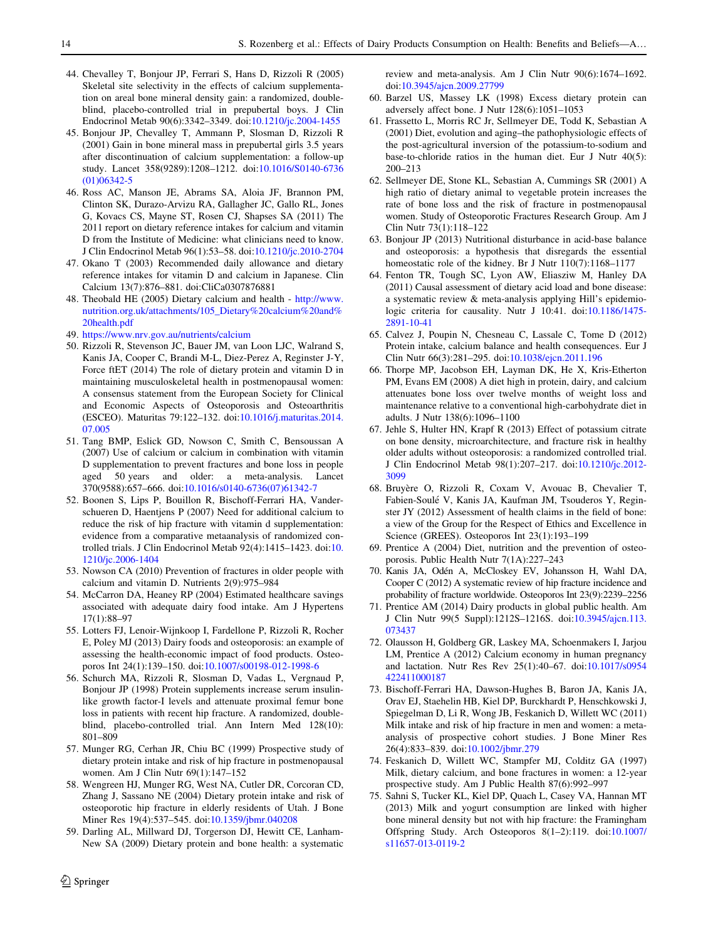- <span id="page-13-0"></span>44. Chevalley T, Bonjour JP, Ferrari S, Hans D, Rizzoli R (2005) Skeletal site selectivity in the effects of calcium supplementation on areal bone mineral density gain: a randomized, doubleblind, placebo-controlled trial in prepubertal boys. J Clin Endocrinol Metab 90(6):3342–3349. doi:[10.1210/jc.2004-1455](http://dx.doi.org/10.1210/jc.2004-1455)
- 45. Bonjour JP, Chevalley T, Ammann P, Slosman D, Rizzoli R (2001) Gain in bone mineral mass in prepubertal girls 3.5 years after discontinuation of calcium supplementation: a follow-up study. Lancet 358(9289):1208–1212. doi:[10.1016/S0140-6736](http://dx.doi.org/10.1016/S0140-6736(01)06342-5) [\(01\)06342-5](http://dx.doi.org/10.1016/S0140-6736(01)06342-5)
- 46. Ross AC, Manson JE, Abrams SA, Aloia JF, Brannon PM, Clinton SK, Durazo-Arvizu RA, Gallagher JC, Gallo RL, Jones G, Kovacs CS, Mayne ST, Rosen CJ, Shapses SA (2011) The 2011 report on dietary reference intakes for calcium and vitamin D from the Institute of Medicine: what clinicians need to know. J Clin Endocrinol Metab 96(1):53–58. doi[:10.1210/jc.2010-2704](http://dx.doi.org/10.1210/jc.2010-2704)
- 47. Okano T (2003) Recommended daily allowance and dietary reference intakes for vitamin D and calcium in Japanese. Clin Calcium 13(7):876–881. doi:CliCa0307876881
- 48. Theobald HE (2005) Dietary calcium and health [http://www.](http://www.nutrition.org.uk/attachments/105_Dietary%2520calcium%2520and%2520health.pdf) [nutrition.org.uk/attachments/105\\_Dietary%20calcium%20and%](http://www.nutrition.org.uk/attachments/105_Dietary%2520calcium%2520and%2520health.pdf) [20health.pdf](http://www.nutrition.org.uk/attachments/105_Dietary%2520calcium%2520and%2520health.pdf)
- 49. <https://www.nrv.gov.au/nutrients/calcium>
- 50. Rizzoli R, Stevenson JC, Bauer JM, van Loon LJC, Walrand S, Kanis JA, Cooper C, Brandi M-L, Diez-Perez A, Reginster J-Y, Force ftET (2014) The role of dietary protein and vitamin D in maintaining musculoskeletal health in postmenopausal women: A consensus statement from the European Society for Clinical and Economic Aspects of Osteoporosis and Osteoarthritis (ESCEO). Maturitas 79:122–132. doi:[10.1016/j.maturitas.2014.](http://dx.doi.org/10.1016/j.maturitas.2014.07.005) [07.005](http://dx.doi.org/10.1016/j.maturitas.2014.07.005)
- 51. Tang BMP, Eslick GD, Nowson C, Smith C, Bensoussan A (2007) Use of calcium or calcium in combination with vitamin D supplementation to prevent fractures and bone loss in people aged 50 years and older: a meta-analysis. Lancet 370(9588):657–666. doi:[10.1016/s0140-6736\(07\)61342-7](http://dx.doi.org/10.1016/s0140-6736(07)61342-7)
- 52. Boonen S, Lips P, Bouillon R, Bischoff-Ferrari HA, Vanderschueren D, Haentjens P (2007) Need for additional calcium to reduce the risk of hip fracture with vitamin d supplementation: evidence from a comparative metaanalysis of randomized controlled trials. J Clin Endocrinol Metab 92(4):1415–1423. doi:[10.](http://dx.doi.org/10.1210/jc.2006-1404) [1210/jc.2006-1404](http://dx.doi.org/10.1210/jc.2006-1404)
- 53. Nowson CA (2010) Prevention of fractures in older people with calcium and vitamin D. Nutrients 2(9):975–984
- 54. McCarron DA, Heaney RP (2004) Estimated healthcare savings associated with adequate dairy food intake. Am J Hypertens 17(1):88–97
- 55. Lotters FJ, Lenoir-Wijnkoop I, Fardellone P, Rizzoli R, Rocher E, Poley MJ (2013) Dairy foods and osteoporosis: an example of assessing the health-economic impact of food products. Osteoporos Int 24(1):139–150. doi:[10.1007/s00198-012-1998-6](http://dx.doi.org/10.1007/s00198-012-1998-6)
- 56. Schurch MA, Rizzoli R, Slosman D, Vadas L, Vergnaud P, Bonjour JP (1998) Protein supplements increase serum insulinlike growth factor-I levels and attenuate proximal femur bone loss in patients with recent hip fracture. A randomized, doubleblind, placebo-controlled trial. Ann Intern Med 128(10): 801–809
- 57. Munger RG, Cerhan JR, Chiu BC (1999) Prospective study of dietary protein intake and risk of hip fracture in postmenopausal women. Am J Clin Nutr 69(1):147–152
- 58. Wengreen HJ, Munger RG, West NA, Cutler DR, Corcoran CD, Zhang J, Sassano NE (2004) Dietary protein intake and risk of osteoporotic hip fracture in elderly residents of Utah. J Bone Miner Res 19(4):537–545. doi[:10.1359/jbmr.040208](http://dx.doi.org/10.1359/jbmr.040208)
- 59. Darling AL, Millward DJ, Torgerson DJ, Hewitt CE, Lanham-New SA (2009) Dietary protein and bone health: a systematic

 $\textcircled{2}$  Springer

review and meta-analysis. Am J Clin Nutr 90(6):1674–1692. doi:[10.3945/ajcn.2009.27799](http://dx.doi.org/10.3945/ajcn.2009.27799)

- 60. Barzel US, Massey LK (1998) Excess dietary protein can adversely affect bone. J Nutr 128(6):1051–1053
- 61. Frassetto L, Morris RC Jr, Sellmeyer DE, Todd K, Sebastian A (2001) Diet, evolution and aging–the pathophysiologic effects of the post-agricultural inversion of the potassium-to-sodium and base-to-chloride ratios in the human diet. Eur J Nutr 40(5): 200–213
- 62. Sellmeyer DE, Stone KL, Sebastian A, Cummings SR (2001) A high ratio of dietary animal to vegetable protein increases the rate of bone loss and the risk of fracture in postmenopausal women. Study of Osteoporotic Fractures Research Group. Am J Clin Nutr 73(1):118–122
- 63. Bonjour JP (2013) Nutritional disturbance in acid-base balance and osteoporosis: a hypothesis that disregards the essential homeostatic role of the kidney. Br J Nutr 110(7):1168-1177
- 64. Fenton TR, Tough SC, Lyon AW, Eliasziw M, Hanley DA (2011) Causal assessment of dietary acid load and bone disease: a systematic review & meta-analysis applying Hill's epidemiologic criteria for causality. Nutr J 10:41. doi:[10.1186/1475-](http://dx.doi.org/10.1186/1475-2891-10-41) [2891-10-41](http://dx.doi.org/10.1186/1475-2891-10-41)
- 65. Calvez J, Poupin N, Chesneau C, Lassale C, Tome D (2012) Protein intake, calcium balance and health consequences. Eur J Clin Nutr 66(3):281–295. doi:[10.1038/ejcn.2011.196](http://dx.doi.org/10.1038/ejcn.2011.196)
- 66. Thorpe MP, Jacobson EH, Layman DK, He X, Kris-Etherton PM, Evans EM (2008) A diet high in protein, dairy, and calcium attenuates bone loss over twelve months of weight loss and maintenance relative to a conventional high-carbohydrate diet in adults. J Nutr 138(6):1096–1100
- 67. Jehle S, Hulter HN, Krapf R (2013) Effect of potassium citrate on bone density, microarchitecture, and fracture risk in healthy older adults without osteoporosis: a randomized controlled trial. J Clin Endocrinol Metab 98(1):207–217. doi[:10.1210/jc.2012-](http://dx.doi.org/10.1210/jc.2012-3099) [3099](http://dx.doi.org/10.1210/jc.2012-3099)
- 68. Bruyère O, Rizzoli R, Coxam V, Avouac B, Chevalier T, Fabien-Soule´ V, Kanis JA, Kaufman JM, Tsouderos Y, Reginster JY (2012) Assessment of health claims in the field of bone: a view of the Group for the Respect of Ethics and Excellence in Science (GREES). Osteoporos Int 23(1):193–199
- 69. Prentice A (2004) Diet, nutrition and the prevention of osteoporosis. Public Health Nutr 7(1A):227–243
- 70. Kanis JA, Odén A, McCloskey EV, Johansson H, Wahl DA, Cooper C (2012) A systematic review of hip fracture incidence and probability of fracture worldwide. Osteoporos Int 23(9):2239–2256
- 71. Prentice AM (2014) Dairy products in global public health. Am J Clin Nutr 99(5 Suppl):1212S–1216S. doi[:10.3945/ajcn.113.](http://dx.doi.org/10.3945/ajcn.113.073437) [073437](http://dx.doi.org/10.3945/ajcn.113.073437)
- 72. Olausson H, Goldberg GR, Laskey MA, Schoenmakers I, Jarjou LM, Prentice A (2012) Calcium economy in human pregnancy and lactation. Nutr Res Rev 25(1):40–67. doi[:10.1017/s0954](http://dx.doi.org/10.1017/s0954422411000187) [422411000187](http://dx.doi.org/10.1017/s0954422411000187)
- 73. Bischoff-Ferrari HA, Dawson-Hughes B, Baron JA, Kanis JA, Orav EJ, Staehelin HB, Kiel DP, Burckhardt P, Henschkowski J, Spiegelman D, Li R, Wong JB, Feskanich D, Willett WC (2011) Milk intake and risk of hip fracture in men and women: a metaanalysis of prospective cohort studies. J Bone Miner Res 26(4):833–839. doi[:10.1002/jbmr.279](http://dx.doi.org/10.1002/jbmr.279)
- 74. Feskanich D, Willett WC, Stampfer MJ, Colditz GA (1997) Milk, dietary calcium, and bone fractures in women: a 12-year prospective study. Am J Public Health 87(6):992–997
- 75. Sahni S, Tucker KL, Kiel DP, Quach L, Casey VA, Hannan MT (2013) Milk and yogurt consumption are linked with higher bone mineral density but not with hip fracture: the Framingham Offspring Study. Arch Osteoporos 8(1–2):119. doi[:10.1007/](http://dx.doi.org/10.1007/s11657-013-0119-2) [s11657-013-0119-2](http://dx.doi.org/10.1007/s11657-013-0119-2)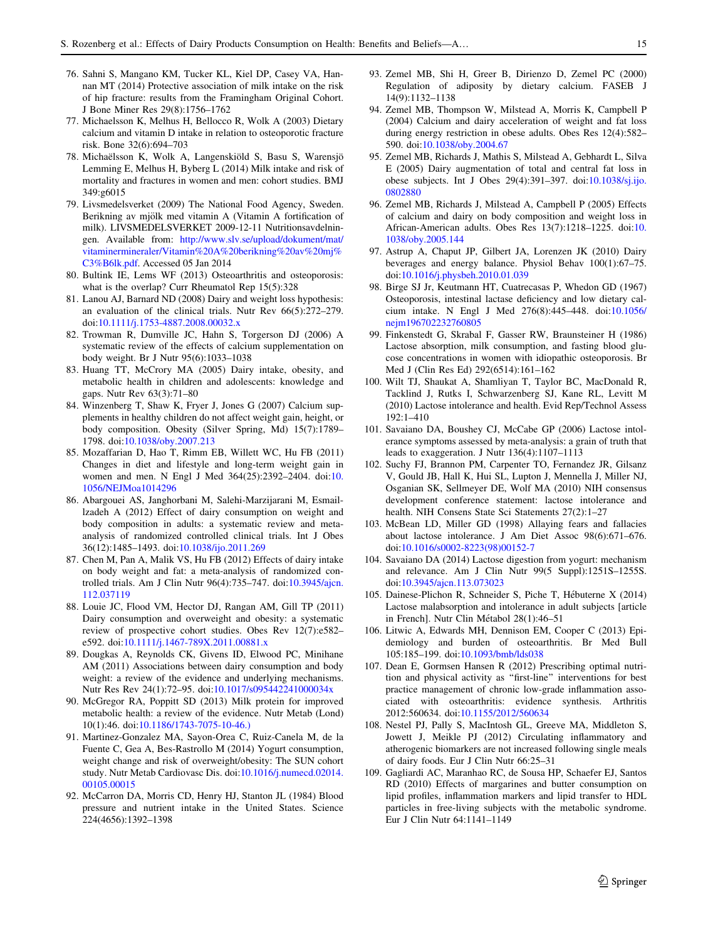- <span id="page-14-0"></span>76. Sahni S, Mangano KM, Tucker KL, Kiel DP, Casey VA, Hannan MT (2014) Protective association of milk intake on the risk of hip fracture: results from the Framingham Original Cohort. J Bone Miner Res 29(8):1756–1762
- 77. Michaelsson K, Melhus H, Bellocco R, Wolk A (2003) Dietary calcium and vitamin D intake in relation to osteoporotic fracture risk. Bone 32(6):694–703
- 78. Michaëlsson K, Wolk A, Langenskiöld S, Basu S, Warensjö Lemming E, Melhus H, Byberg L (2014) Milk intake and risk of mortality and fractures in women and men: cohort studies. BMJ 349:g6015
- 79. Livsmedelsverket (2009) The National Food Agency, Sweden. Berikning av mjölk med vitamin A (Vitamin A fortification of milk). LIVSMEDELSVERKET 2009-12-11 Nutritionsavdelningen. Available from: [http://www.slv.se/upload/dokument/mat/](http://www.slv.se/upload/dokument/mat/vitaminermineraler/Vitamin%2520A%2520berikning%2520av%2520mj%25C3%25B6lk.pdf) [vitaminermineraler/Vitamin%20A%20berikning%20av%20mj%](http://www.slv.se/upload/dokument/mat/vitaminermineraler/Vitamin%2520A%2520berikning%2520av%2520mj%25C3%25B6lk.pdf) [C3%B6lk.pdf.](http://www.slv.se/upload/dokument/mat/vitaminermineraler/Vitamin%2520A%2520berikning%2520av%2520mj%25C3%25B6lk.pdf) Accessed 05 Jan 2014
- 80. Bultink IE, Lems WF (2013) Osteoarthritis and osteoporosis: what is the overlap? Curr Rheumatol Rep 15(5):328
- 81. Lanou AJ, Barnard ND (2008) Dairy and weight loss hypothesis: an evaluation of the clinical trials. Nutr Rev 66(5):272–279. doi:[10.1111/j.1753-4887.2008.00032.x](http://dx.doi.org/10.1111/j.1753-4887.2008.00032.x)
- 82. Trowman R, Dumville JC, Hahn S, Torgerson DJ (2006) A systematic review of the effects of calcium supplementation on body weight. Br J Nutr 95(6):1033–1038
- 83. Huang TT, McCrory MA (2005) Dairy intake, obesity, and metabolic health in children and adolescents: knowledge and gaps. Nutr Rev 63(3):71–80
- 84. Winzenberg T, Shaw K, Fryer J, Jones G (2007) Calcium supplements in healthy children do not affect weight gain, height, or body composition. Obesity (Silver Spring, Md) 15(7):1789– 1798. doi:[10.1038/oby.2007.213](http://dx.doi.org/10.1038/oby.2007.213)
- 85. Mozaffarian D, Hao T, Rimm EB, Willett WC, Hu FB (2011) Changes in diet and lifestyle and long-term weight gain in women and men. N Engl J Med 364(25):2392–2404. doi:[10.](http://dx.doi.org/10.1056/NEJMoa1014296) [1056/NEJMoa1014296](http://dx.doi.org/10.1056/NEJMoa1014296)
- 86. Abargouei AS, Janghorbani M, Salehi-Marzijarani M, Esmaillzadeh A (2012) Effect of dairy consumption on weight and body composition in adults: a systematic review and metaanalysis of randomized controlled clinical trials. Int J Obes 36(12):1485–1493. doi:[10.1038/ijo.2011.269](http://dx.doi.org/10.1038/ijo.2011.269)
- 87. Chen M, Pan A, Malik VS, Hu FB (2012) Effects of dairy intake on body weight and fat: a meta-analysis of randomized controlled trials. Am J Clin Nutr 96(4):735–747. doi:[10.3945/ajcn.](http://dx.doi.org/10.3945/ajcn.112.037119) [112.037119](http://dx.doi.org/10.3945/ajcn.112.037119)
- 88. Louie JC, Flood VM, Hector DJ, Rangan AM, Gill TP (2011) Dairy consumption and overweight and obesity: a systematic review of prospective cohort studies. Obes Rev 12(7):e582– e592. doi[:10.1111/j.1467-789X.2011.00881.x](http://dx.doi.org/10.1111/j.1467-789X.2011.00881.x)
- 89. Dougkas A, Reynolds CK, Givens ID, Elwood PC, Minihane AM (2011) Associations between dairy consumption and body weight: a review of the evidence and underlying mechanisms. Nutr Res Rev 24(1):72–95. doi:[10.1017/s095442241000034x](http://dx.doi.org/10.1017/s095442241000034x)
- 90. McGregor RA, Poppitt SD (2013) Milk protein for improved metabolic health: a review of the evidence. Nutr Metab (Lond) 10(1):46. doi:[10.1186/1743-7075-10-46.\)](http://dx.doi.org/10.1186/1743-7075-10-46.))
- 91. Martinez-Gonzalez MA, Sayon-Orea C, Ruiz-Canela M, de la Fuente C, Gea A, Bes-Rastrollo M (2014) Yogurt consumption, weight change and risk of overweight/obesity: The SUN cohort study. Nutr Metab Cardiovasc Dis. doi[:10.1016/j.numecd.02014.](http://dx.doi.org/10.1016/j.numecd.02014.00105.00015) [00105.00015](http://dx.doi.org/10.1016/j.numecd.02014.00105.00015)
- 92. McCarron DA, Morris CD, Henry HJ, Stanton JL (1984) Blood pressure and nutrient intake in the United States. Science 224(4656):1392–1398
- 93. Zemel MB, Shi H, Greer B, Dirienzo D, Zemel PC (2000) Regulation of adiposity by dietary calcium. FASEB J 14(9):1132–1138
- 94. Zemel MB, Thompson W, Milstead A, Morris K, Campbell P (2004) Calcium and dairy acceleration of weight and fat loss during energy restriction in obese adults. Obes Res 12(4):582– 590. doi[:10.1038/oby.2004.67](http://dx.doi.org/10.1038/oby.2004.67)
- 95. Zemel MB, Richards J, Mathis S, Milstead A, Gebhardt L, Silva E (2005) Dairy augmentation of total and central fat loss in obese subjects. Int J Obes 29(4):391–397. doi[:10.1038/sj.ijo.](http://dx.doi.org/10.1038/sj.ijo.0802880) [0802880](http://dx.doi.org/10.1038/sj.ijo.0802880)
- 96. Zemel MB, Richards J, Milstead A, Campbell P (2005) Effects of calcium and dairy on body composition and weight loss in African-American adults. Obes Res 13(7):1218–1225. doi:[10.](http://dx.doi.org/10.1038/oby.2005.144) [1038/oby.2005.144](http://dx.doi.org/10.1038/oby.2005.144)
- 97. Astrup A, Chaput JP, Gilbert JA, Lorenzen JK (2010) Dairy beverages and energy balance. Physiol Behav 100(1):67–75. doi:[10.1016/j.physbeh.2010.01.039](http://dx.doi.org/10.1016/j.physbeh.2010.01.039)
- 98. Birge SJ Jr, Keutmann HT, Cuatrecasas P, Whedon GD (1967) Osteoporosis, intestinal lactase deficiency and low dietary calcium intake. N Engl J Med 276(8):445–448. doi[:10.1056/](http://dx.doi.org/10.1056/nejm196702232760805) [nejm196702232760805](http://dx.doi.org/10.1056/nejm196702232760805)
- 99. Finkenstedt G, Skrabal F, Gasser RW, Braunsteiner H (1986) Lactose absorption, milk consumption, and fasting blood glucose concentrations in women with idiopathic osteoporosis. Br Med J (Clin Res Ed) 292(6514):161–162
- 100. Wilt TJ, Shaukat A, Shamliyan T, Taylor BC, MacDonald R, Tacklind J, Rutks I, Schwarzenberg SJ, Kane RL, Levitt M (2010) Lactose intolerance and health. Evid Rep/Technol Assess 192:1–410
- 101. Savaiano DA, Boushey CJ, McCabe GP (2006) Lactose intolerance symptoms assessed by meta-analysis: a grain of truth that leads to exaggeration. J Nutr 136(4):1107–1113
- 102. Suchy FJ, Brannon PM, Carpenter TO, Fernandez JR, Gilsanz V, Gould JB, Hall K, Hui SL, Lupton J, Mennella J, Miller NJ, Osganian SK, Sellmeyer DE, Wolf MA (2010) NIH consensus development conference statement: lactose intolerance and health. NIH Consens State Sci Statements 27(2):1–27
- 103. McBean LD, Miller GD (1998) Allaying fears and fallacies about lactose intolerance. J Am Diet Assoc 98(6):671–676. doi:[10.1016/s0002-8223\(98\)00152-7](http://dx.doi.org/10.1016/s0002-8223(98)00152-7)
- 104. Savaiano DA (2014) Lactose digestion from yogurt: mechanism and relevance. Am J Clin Nutr 99(5 Suppl):1251S–1255S. doi:[10.3945/ajcn.113.073023](http://dx.doi.org/10.3945/ajcn.113.073023)
- 105. Dainese-Plichon R, Schneider S, Piche T, Hébuterne X (2014) Lactose malabsorption and intolerance in adult subjects [article in French]. Nutr Clin Métabol  $28(1):46-51$
- 106. Litwic A, Edwards MH, Dennison EM, Cooper C (2013) Epidemiology and burden of osteoarthritis. Br Med Bull 105:185–199. doi[:10.1093/bmb/lds038](http://dx.doi.org/10.1093/bmb/lds038)
- 107. Dean E, Gormsen Hansen R (2012) Prescribing optimal nutrition and physical activity as ''first-line'' interventions for best practice management of chronic low-grade inflammation associated with osteoarthritis: evidence synthesis. Arthritis 2012:560634. doi[:10.1155/2012/560634](http://dx.doi.org/10.1155/2012/560634)
- 108. Nestel PJ, Pally S, MacIntosh GL, Greeve MA, Middleton S, Jowett J, Meikle PJ (2012) Circulating inflammatory and atherogenic biomarkers are not increased following single meals of dairy foods. Eur J Clin Nutr 66:25–31
- 109. Gagliardi AC, Maranhao RC, de Sousa HP, Schaefer EJ, Santos RD (2010) Effects of margarines and butter consumption on lipid profiles, inflammation markers and lipid transfer to HDL particles in free-living subjects with the metabolic syndrome. Eur J Clin Nutr 64:1141–1149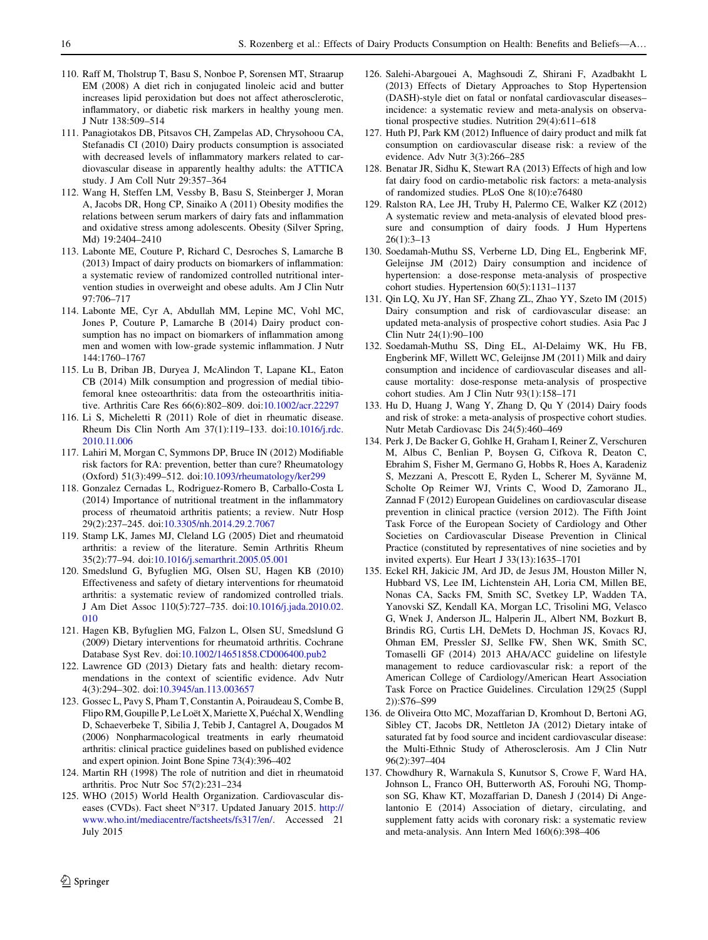- <span id="page-15-0"></span>110. Raff M, Tholstrup T, Basu S, Nonboe P, Sorensen MT, Straarup EM (2008) A diet rich in conjugated linoleic acid and butter increases lipid peroxidation but does not affect atherosclerotic, inflammatory, or diabetic risk markers in healthy young men. J Nutr 138:509–514
- 111. Panagiotakos DB, Pitsavos CH, Zampelas AD, Chrysohoou CA, Stefanadis CI (2010) Dairy products consumption is associated with decreased levels of inflammatory markers related to cardiovascular disease in apparently healthy adults: the ATTICA study. J Am Coll Nutr 29:357–364
- 112. Wang H, Steffen LM, Vessby B, Basu S, Steinberger J, Moran A, Jacobs DR, Hong CP, Sinaiko A (2011) Obesity modifies the relations between serum markers of dairy fats and inflammation and oxidative stress among adolescents. Obesity (Silver Spring, Md) 19:2404–2410
- 113. Labonte ME, Couture P, Richard C, Desroches S, Lamarche B (2013) Impact of dairy products on biomarkers of inflammation: a systematic review of randomized controlled nutritional intervention studies in overweight and obese adults. Am J Clin Nutr 97:706–717
- 114. Labonte ME, Cyr A, Abdullah MM, Lepine MC, Vohl MC, Jones P, Couture P, Lamarche B (2014) Dairy product consumption has no impact on biomarkers of inflammation among men and women with low-grade systemic inflammation. J Nutr 144:1760–1767
- 115. Lu B, Driban JB, Duryea J, McAlindon T, Lapane KL, Eaton CB (2014) Milk consumption and progression of medial tibiofemoral knee osteoarthritis: data from the osteoarthritis initiative. Arthritis Care Res 66(6):802–809. doi:[10.1002/acr.22297](http://dx.doi.org/10.1002/acr.22297)
- 116. Li S, Micheletti R (2011) Role of diet in rheumatic disease. Rheum Dis Clin North Am 37(1):119–133. doi:[10.1016/j.rdc.](http://dx.doi.org/10.1016/j.rdc.2010.11.006) [2010.11.006](http://dx.doi.org/10.1016/j.rdc.2010.11.006)
- 117. Lahiri M, Morgan C, Symmons DP, Bruce IN (2012) Modifiable risk factors for RA: prevention, better than cure? Rheumatology (Oxford) 51(3):499–512. doi:[10.1093/rheumatology/ker299](http://dx.doi.org/10.1093/rheumatology/ker299)
- 118. Gonzalez Cernadas L, Rodriguez-Romero B, Carballo-Costa L (2014) Importance of nutritional treatment in the inflammatory process of rheumatoid arthritis patients; a review. Nutr Hosp 29(2):237–245. doi[:10.3305/nh.2014.29.2.7067](http://dx.doi.org/10.3305/nh.2014.29.2.7067)
- 119. Stamp LK, James MJ, Cleland LG (2005) Diet and rheumatoid arthritis: a review of the literature. Semin Arthritis Rheum 35(2):77–94. doi:[10.1016/j.semarthrit.2005.05.001](http://dx.doi.org/10.1016/j.semarthrit.2005.05.001)
- 120. Smedslund G, Byfuglien MG, Olsen SU, Hagen KB (2010) Effectiveness and safety of dietary interventions for rheumatoid arthritis: a systematic review of randomized controlled trials. J Am Diet Assoc 110(5):727–735. doi:[10.1016/j.jada.2010.02.](http://dx.doi.org/10.1016/j.jada.2010.02.010) [010](http://dx.doi.org/10.1016/j.jada.2010.02.010)
- 121. Hagen KB, Byfuglien MG, Falzon L, Olsen SU, Smedslund G (2009) Dietary interventions for rheumatoid arthritis. Cochrane Database Syst Rev. doi:[10.1002/14651858.CD006400.pub2](http://dx.doi.org/10.1002/14651858.CD006400.pub2)
- 122. Lawrence GD (2013) Dietary fats and health: dietary recommendations in the context of scientific evidence. Adv Nutr 4(3):294–302. doi:[10.3945/an.113.003657](http://dx.doi.org/10.3945/an.113.003657)
- 123. Gossec L, Pavy S, Pham T, Constantin A, Poiraudeau S, Combe B, Flipo RM, Goupille P, Le Loët X, Mariette X, Puéchal X, Wendling D, Schaeverbeke T, Sibilia J, Tebib J, Cantagrel A, Dougados M (2006) Nonpharmacological treatments in early rheumatoid arthritis: clinical practice guidelines based on published evidence and expert opinion. Joint Bone Spine 73(4):396–402
- 124. Martin RH (1998) The role of nutrition and diet in rheumatoid arthritis. Proc Nutr Soc 57(2):231–234
- 125. WHO (2015) World Health Organization. Cardiovascular diseases (CVDs). Fact sheet N°317. Updated January 2015. [http://](http://www.who.int/mediacentre/factsheets/fs317/en/) [www.who.int/mediacentre/factsheets/fs317/en/](http://www.who.int/mediacentre/factsheets/fs317/en/). Accessed 21 July 2015
- 126. Salehi-Abargouei A, Maghsoudi Z, Shirani F, Azadbakht L (2013) Effects of Dietary Approaches to Stop Hypertension (DASH)-style diet on fatal or nonfatal cardiovascular diseases– incidence: a systematic review and meta-analysis on observational prospective studies. Nutrition 29(4):611–618
- 127. Huth PJ, Park KM (2012) Influence of dairy product and milk fat consumption on cardiovascular disease risk: a review of the evidence. Adv Nutr 3(3):266–285
- 128. Benatar JR, Sidhu K, Stewart RA (2013) Effects of high and low fat dairy food on cardio-metabolic risk factors: a meta-analysis of randomized studies. PLoS One 8(10):e76480
- 129. Ralston RA, Lee JH, Truby H, Palermo CE, Walker KZ (2012) A systematic review and meta-analysis of elevated blood pressure and consumption of dairy foods. J Hum Hypertens 26(1):3–13
- 130. Soedamah-Muthu SS, Verberne LD, Ding EL, Engberink MF, Geleijnse JM (2012) Dairy consumption and incidence of hypertension: a dose-response meta-analysis of prospective cohort studies. Hypertension 60(5):1131–1137
- 131. Qin LQ, Xu JY, Han SF, Zhang ZL, Zhao YY, Szeto IM (2015) Dairy consumption and risk of cardiovascular disease: an updated meta-analysis of prospective cohort studies. Asia Pac J Clin Nutr 24(1):90–100
- 132. Soedamah-Muthu SS, Ding EL, Al-Delaimy WK, Hu FB, Engberink MF, Willett WC, Geleijnse JM (2011) Milk and dairy consumption and incidence of cardiovascular diseases and allcause mortality: dose-response meta-analysis of prospective cohort studies. Am J Clin Nutr 93(1):158–171
- 133. Hu D, Huang J, Wang Y, Zhang D, Qu Y (2014) Dairy foods and risk of stroke: a meta-analysis of prospective cohort studies. Nutr Metab Cardiovasc Dis 24(5):460–469
- 134. Perk J, De Backer G, Gohlke H, Graham I, Reiner Z, Verschuren M, Albus C, Benlian P, Boysen G, Cifkova R, Deaton C, Ebrahim S, Fisher M, Germano G, Hobbs R, Hoes A, Karadeniz S, Mezzani A, Prescott E, Ryden L, Scherer M, Syvänne M, Scholte Op Reimer WJ, Vrints C, Wood D, Zamorano JL, Zannad F (2012) European Guidelines on cardiovascular disease prevention in clinical practice (version 2012). The Fifth Joint Task Force of the European Society of Cardiology and Other Societies on Cardiovascular Disease Prevention in Clinical Practice (constituted by representatives of nine societies and by invited experts). Eur Heart J 33(13):1635–1701
- 135. Eckel RH, Jakicic JM, Ard JD, de Jesus JM, Houston Miller N, Hubbard VS, Lee IM, Lichtenstein AH, Loria CM, Millen BE, Nonas CA, Sacks FM, Smith SC, Svetkey LP, Wadden TA, Yanovski SZ, Kendall KA, Morgan LC, Trisolini MG, Velasco G, Wnek J, Anderson JL, Halperin JL, Albert NM, Bozkurt B, Brindis RG, Curtis LH, DeMets D, Hochman JS, Kovacs RJ, Ohman EM, Pressler SJ, Sellke FW, Shen WK, Smith SC, Tomaselli GF (2014) 2013 AHA/ACC guideline on lifestyle management to reduce cardiovascular risk: a report of the American College of Cardiology/American Heart Association Task Force on Practice Guidelines. Circulation 129(25 (Suppl 2)):S76–S99
- 136. de Oliveira Otto MC, Mozaffarian D, Kromhout D, Bertoni AG, Sibley CT, Jacobs DR, Nettleton JA (2012) Dietary intake of saturated fat by food source and incident cardiovascular disease: the Multi-Ethnic Study of Atherosclerosis. Am J Clin Nutr 96(2):397–404
- 137. Chowdhury R, Warnakula S, Kunutsor S, Crowe F, Ward HA, Johnson L, Franco OH, Butterworth AS, Forouhi NG, Thompson SG, Khaw KT, Mozaffarian D, Danesh J (2014) Di Angelantonio E (2014) Association of dietary, circulating, and supplement fatty acids with coronary risk: a systematic review and meta-analysis. Ann Intern Med 160(6):398–406